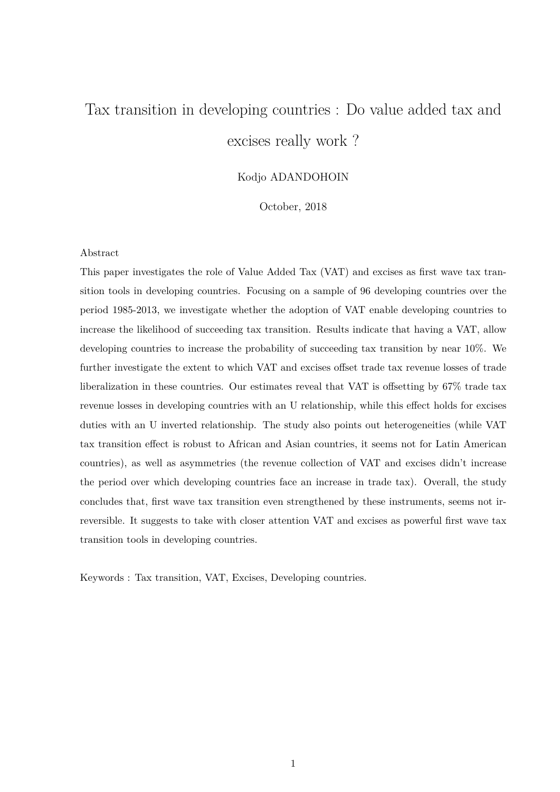# Tax transition in developing countries : Do value added tax and excises really work ?

## Kodjo ADANDOHOIN

October, 2018

#### Abstract

This paper investigates the role of Value Added Tax (VAT) and excises as first wave tax transition tools in developing countries. Focusing on a sample of 96 developing countries over the period 1985-2013, we investigate whether the adoption of VAT enable developing countries to increase the likelihood of succeeding tax transition. Results indicate that having a VAT, allow developing countries to increase the probability of succeeding tax transition by near 10%. We further investigate the extent to which VAT and excises offset trade tax revenue losses of trade liberalization in these countries. Our estimates reveal that VAT is offsetting by 67% trade tax revenue losses in developing countries with an U relationship, while this effect holds for excises duties with an U inverted relationship. The study also points out heterogeneities (while VAT tax transition effect is robust to African and Asian countries, it seems not for Latin American countries), as well as asymmetries (the revenue collection of VAT and excises didn't increase the period over which developing countries face an increase in trade tax). Overall, the study concludes that, first wave tax transition even strengthened by these instruments, seems not irreversible. It suggests to take with closer attention VAT and excises as powerful first wave tax transition tools in developing countries.

Keywords : Tax transition, VAT, Excises, Developing countries.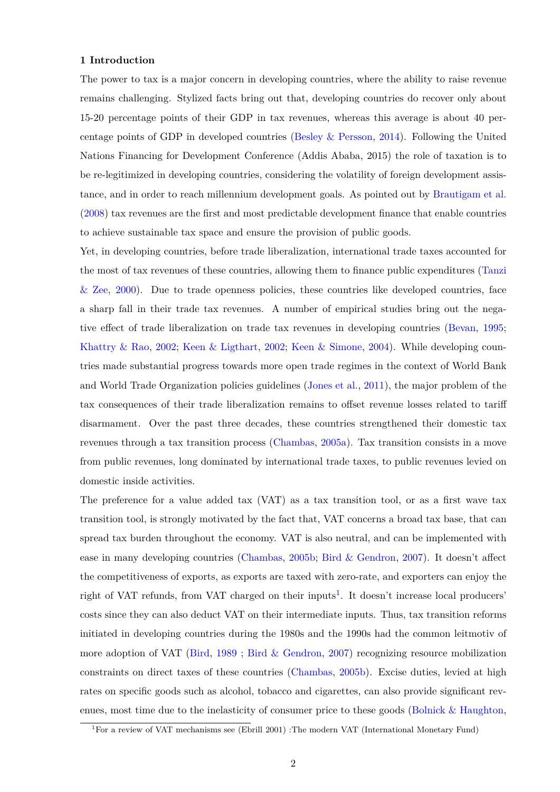#### **1 Introduction**

The power to tax is a major concern in developing countries, where the ability to raise revenue remains challenging. Stylized facts bring out that, developing countries do recover only about 15-20 percentage points of their GDP in tax revenues, whereas this average is about 40 percentage points of GDP in developed countries (Besley  $\&$  Persson, [2014\)](#page-32-0). Following the United Nations Financing for Development Conference (Addis Ababa, 2015) the role of taxation is to be re-legitimized in developing countries, considering the volatility of foreign development assistance, and in order to reach millennium development goals. As pointed out by [Brautigam et al.](#page-32-1) [\(2008\)](#page-32-1) tax revenues are the first and most predictable development finance that enable countries to achieve sustainable tax space and ensure the provision of public goods.

Yet, in developing countries, before trade liberalization, international trade taxes accounted for the most of tax revenues of these countries, allowing them to finance public expenditures [\(Tanzi](#page-34-0)  $\&$  Zee, [2000\)](#page-34-0). Due to trade openness policies, these countries like developed countries, face a sharp fall in their trade tax revenues. A number of empirical studies bring out the negative effect of trade liberalization on trade tax revenues in developing countries [\(Bevan,](#page-32-2) [1995;](#page-32-2) [Khattry & Rao,](#page-34-1) [2002;](#page-34-1) [Keen & Ligthart,](#page-33-0) [2002;](#page-33-0) [Keen & Simone,](#page-34-2) [2004\)](#page-34-2). While developing countries made substantial progress towards more open trade regimes in the context of World Bank and World Trade Organization policies guidelines [\(Jones et al.,](#page-33-1) [2011\)](#page-33-1), the major problem of the tax consequences of their trade liberalization remains to offset revenue losses related to tariff disarmament. Over the past three decades, these countries strengthened their domestic tax revenues through a tax transition process [\(Chambas,](#page-32-3) [2005a\)](#page-32-3). Tax transition consists in a move from public revenues, long dominated by international trade taxes, to public revenues levied on domestic inside activities.

The preference for a value added tax (VAT) as a tax transition tool, or as a first wave tax transition tool, is strongly motivated by the fact that, VAT concerns a broad tax base, that can spread tax burden throughout the economy. VAT is also neutral, and can be implemented with ease in many developing countries [\(Chambas,](#page-32-4) [2005b;](#page-32-4) [Bird & Gendron,](#page-32-5) [2007\)](#page-32-5). It doesn't affect the competitiveness of exports, as exports are taxed with zero-rate, and exporters can enjoy the right of VAT refunds, from VAT charged on their inputs<sup>[1](#page-1-0)</sup>. It doesn't increase local producers' costs since they can also deduct VAT on their intermediate inputs. Thus, tax transition reforms initiated in developing countries during the 1980s and the 1990s had the common leitmotiv of more adoption of VAT [\(Bird,](#page-32-6) [1989](#page-32-6) ; [Bird & Gendron,](#page-32-5) [2007\)](#page-32-5) recognizing resource mobilization constraints on direct taxes of these countries [\(Chambas,](#page-32-4) [2005b\)](#page-32-4). Excise duties, levied at high rates on specific goods such as alcohol, tobacco and cigarettes, can also provide significant revenues, most time due to the inelasticity of consumer price to these goods (Bolnick  $&$  Haughton,

<span id="page-1-0"></span><sup>1</sup>For a review of VAT mechanisms see (Ebrill 2001) :The modern VAT (International Monetary Fund)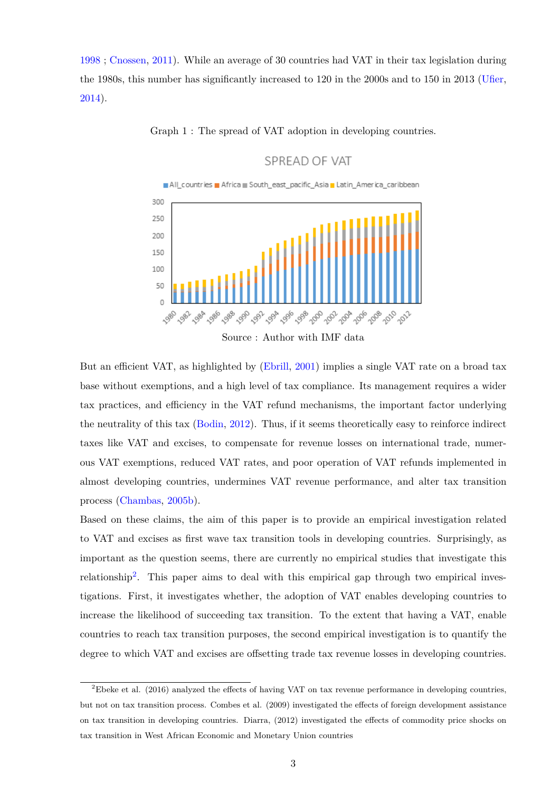[1998](#page-32-7) ; [Cnossen,](#page-33-2) [2011\)](#page-33-2). While an average of 30 countries had VAT in their tax legislation during the 1980s, this number has significantly increased to 120 in the 2000s and to 150 in 2013 [\(Ufier,](#page-34-3) [2014\)](#page-34-3).



Graph 1 : The spread of VAT adoption in developing countries.

SPREAD OF VAT

But an efficient VAT, as highlighted by [\(Ebrill,](#page-33-3) [2001\)](#page-33-3) implies a single VAT rate on a broad tax base without exemptions, and a high level of tax compliance. Its management requires a wider tax practices, and efficiency in the VAT refund mechanisms, the important factor underlying the neutrality of this tax [\(Bodin,](#page-32-8) [2012\)](#page-32-8). Thus, if it seems theoretically easy to reinforce indirect taxes like VAT and excises, to compensate for revenue losses on international trade, numerous VAT exemptions, reduced VAT rates, and poor operation of VAT refunds implemented in almost developing countries, undermines VAT revenue performance, and alter tax transition process [\(Chambas,](#page-32-4) [2005b\)](#page-32-4).

Based on these claims, the aim of this paper is to provide an empirical investigation related to VAT and excises as first wave tax transition tools in developing countries. Surprisingly, as important as the question seems, there are currently no empirical studies that investigate this relationship<sup>[2](#page-2-0)</sup>. This paper aims to deal with this empirical gap through two empirical investigations. First, it investigates whether, the adoption of VAT enables developing countries to increase the likelihood of succeeding tax transition. To the extent that having a VAT, enable countries to reach tax transition purposes, the second empirical investigation is to quantify the degree to which VAT and excises are offsetting trade tax revenue losses in developing countries.

<span id="page-2-0"></span><sup>2</sup>Ebeke et al. (2016) analyzed the effects of having VAT on tax revenue performance in developing countries, but not on tax transition process. Combes et al. (2009) investigated the effects of foreign development assistance on tax transition in developing countries. Diarra, (2012) investigated the effects of commodity price shocks on tax transition in West African Economic and Monetary Union countries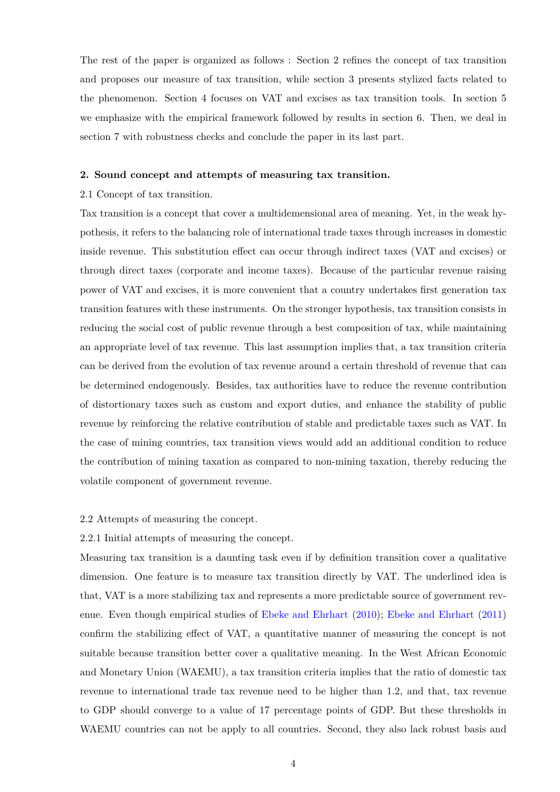The rest of the paper is organized as follows : Section 2 refines the concept of tax transition and proposes our measure of tax transition, while section 3 presents stylized facts related to the phenomenon. Section 4 focuses on VAT and excises as tax transition tools. In section 5 we emphasize with the empirical framework followed by results in section 6. Then, we deal in section 7 with robustness checks and conclude the paper in its last part.

### **2. Sound concept and attempts of measuring tax transition.**

#### 2.1 Concept of tax transition.

Tax transition is a concept that cover a multidemensional area of meaning. Yet, in the weak hypothesis, it refers to the balancing role of international trade taxes through increases in domestic inside revenue. This substitution effect can occur through indirect taxes (VAT and excises) or through direct taxes (corporate and income taxes). Because of the particular revenue raising power of VAT and excises, it is more convenient that a country undertakes first generation tax transition features with these instruments. On the stronger hypothesis, tax transition consists in reducing the social cost of public revenue through a best composition of tax, while maintaining an appropriate level of tax revenue. This last assumption implies that, a tax transition criteria can be derived from the evolution of tax revenue around a certain threshold of revenue that can be determined endogenously. Besides, tax authorities have to reduce the revenue contribution of distortionary taxes such as custom and export duties, and enhance the stability of public revenue by reinforcing the relative contribution of stable and predictable taxes such as VAT. In the case of mining countries, tax transition views would add an additional condition to reduce the contribution of mining taxation as compared to non-mining taxation, thereby reducing the volatile component of government revenue.

#### 2.2 Attempts of measuring the concept.

#### 2.2.1 Initial attempts of measuring the concept.

Measuring tax transition is a daunting task even if by definition transition cover a qualitative dimension. One feature is to measure tax transition directly by VAT. The underlined idea is that, VAT is a more stabilizing tax and represents a more predictable source of government revenue. Even though empirical studies of [Ebeke and Ehrhart](#page-33-4) [\(2010\)](#page-33-4); [Ebeke and Ehrhart](#page-33-5) [\(2011\)](#page-33-5) confirm the stabilizing effect of VAT, a quantitative manner of measuring the concept is not suitable because transition better cover a qualitative meaning. In the West African Economic and Monetary Union (WAEMU), a tax transition criteria implies that the ratio of domestic tax revenue to international trade tax revenue need to be higher than 1.2, and that, tax revenue to GDP should converge to a value of 17 percentage points of GDP. But these thresholds in WAEMU countries can not be apply to all countries. Second, they also lack robust basis and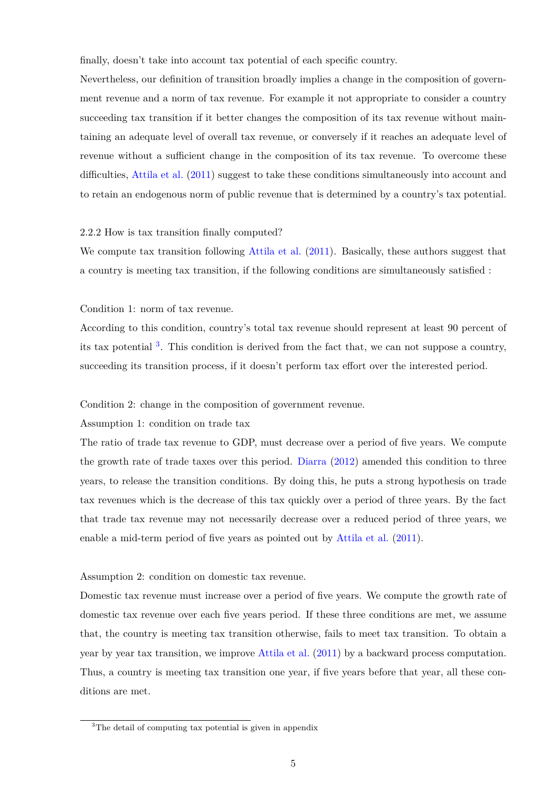finally, doesn't take into account tax potential of each specific country.

Nevertheless, our definition of transition broadly implies a change in the composition of government revenue and a norm of tax revenue. For example it not appropriate to consider a country succeeding tax transition if it better changes the composition of its tax revenue without maintaining an adequate level of overall tax revenue, or conversely if it reaches an adequate level of revenue without a sufficient change in the composition of its tax revenue. To overcome these difficulties, [Attila et al.](#page-32-9) [\(2011\)](#page-32-9) suggest to take these conditions simultaneously into account and to retain an endogenous norm of public revenue that is determined by a country's tax potential.

### 2.2.2 How is tax transition finally computed?

We compute tax transition following [Attila et al.](#page-32-9)  $(2011)$ . Basically, these authors suggest that a country is meeting tax transition, if the following conditions are simultaneously satisfied :

#### Condition 1: norm of tax revenue.

According to this condition, country's total tax revenue should represent at least 90 percent of its tax potential <sup>[3](#page-4-0)</sup>. This condition is derived from the fact that, we can not suppose a country, succeeding its transition process, if it doesn't perform tax effort over the interested period.

#### Condition 2: change in the composition of government revenue.

#### Assumption 1: condition on trade tax

The ratio of trade tax revenue to GDP, must decrease over a period of five years. We compute the growth rate of trade taxes over this period. [Diarra](#page-33-6) [\(2012\)](#page-33-6) amended this condition to three years, to release the transition conditions. By doing this, he puts a strong hypothesis on trade tax revenues which is the decrease of this tax quickly over a period of three years. By the fact that trade tax revenue may not necessarily decrease over a reduced period of three years, we enable a mid-term period of five years as pointed out by [Attila et al.](#page-32-9) [\(2011\)](#page-32-9).

#### Assumption 2: condition on domestic tax revenue.

Domestic tax revenue must increase over a period of five years. We compute the growth rate of domestic tax revenue over each five years period. If these three conditions are met, we assume that, the country is meeting tax transition otherwise, fails to meet tax transition. To obtain a year by year tax transition, we improve [Attila et al.](#page-32-9) [\(2011\)](#page-32-9) by a backward process computation. Thus, a country is meeting tax transition one year, if five years before that year, all these conditions are met.

<span id="page-4-0"></span><sup>3</sup>The detail of computing tax potential is given in appendix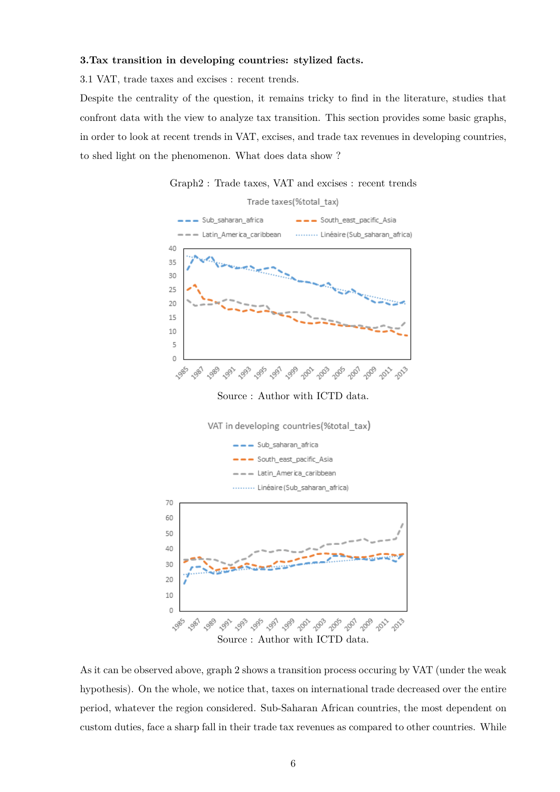### **3.Tax transition in developing countries: stylized facts.**

3.1 VAT, trade taxes and excises : recent trends.

Despite the centrality of the question, it remains tricky to find in the literature, studies that confront data with the view to analyze tax transition. This section provides some basic graphs, in order to look at recent trends in VAT, excises, and trade tax revenues in developing countries, to shed light on the phenomenon. What does data show ?

Graph2 : Trade taxes, VAT and excises : recent trends





Source : Author with ICTD data.



As it can be observed above, graph 2 shows a transition process occuring by VAT (under the weak hypothesis). On the whole, we notice that, taxes on international trade decreased over the entire period, whatever the region considered. Sub-Saharan African countries, the most dependent on custom duties, face a sharp fall in their trade tax revenues as compared to other countries. While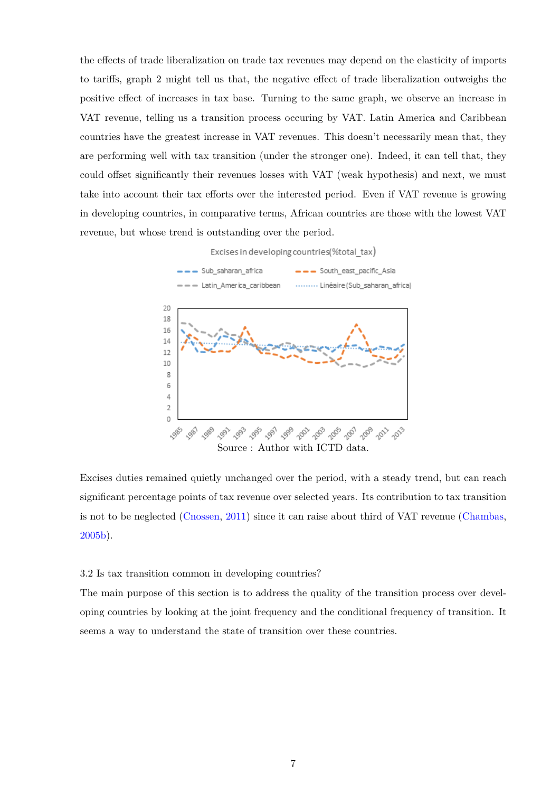the effects of trade liberalization on trade tax revenues may depend on the elasticity of imports to tariffs, graph 2 might tell us that, the negative effect of trade liberalization outweighs the positive effect of increases in tax base. Turning to the same graph, we observe an increase in VAT revenue, telling us a transition process occuring by VAT. Latin America and Caribbean countries have the greatest increase in VAT revenues. This doesn't necessarily mean that, they are performing well with tax transition (under the stronger one). Indeed, it can tell that, they could offset significantly their revenues losses with VAT (weak hypothesis) and next, we must take into account their tax efforts over the interested period. Even if VAT revenue is growing in developing countries, in comparative terms, African countries are those with the lowest VAT revenue, but whose trend is outstanding over the period.

Excises in developing countries(%total tax)



Excises duties remained quietly unchanged over the period, with a steady trend, but can reach significant percentage points of tax revenue over selected years. Its contribution to tax transition is not to be neglected [\(Cnossen,](#page-33-2) [2011\)](#page-33-2) since it can raise about third of VAT revenue [\(Chambas,](#page-32-4) [2005b\)](#page-32-4).

#### 3.2 Is tax transition common in developing countries?

The main purpose of this section is to address the quality of the transition process over developing countries by looking at the joint frequency and the conditional frequency of transition. It seems a way to understand the state of transition over these countries.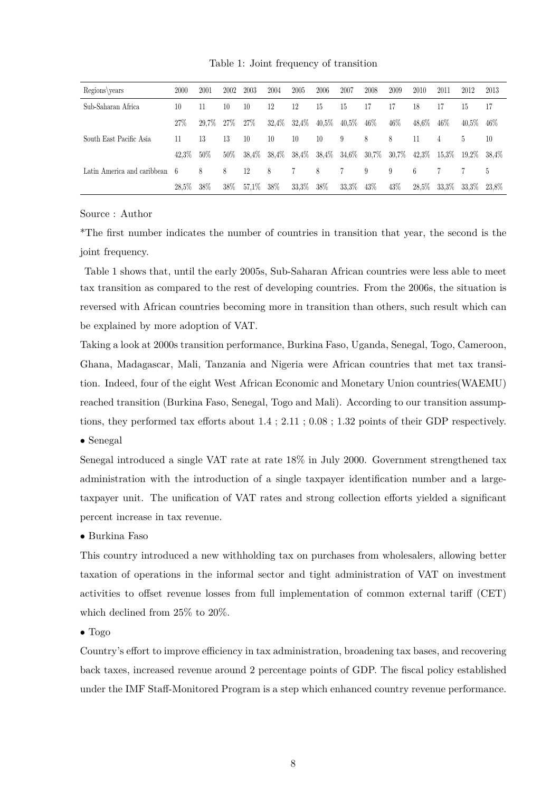Table 1: Joint frequency of transition

| Regions\years               | 2000     | 2001  | 2002   | 2003  | 2004  | 2005     | 2006          | 2007     | 2008     | 2009     | 2010     | 2011   | 2012  | 2013  |
|-----------------------------|----------|-------|--------|-------|-------|----------|---------------|----------|----------|----------|----------|--------|-------|-------|
| Sub-Saharan Africa          | 10       | 11    | 10     | 10    | 12    | 12       | 15            | 15       | 17       |          | 18       |        | 15    | 17    |
|                             | 27\%     | 29.7% | 27\%   | 27\%  | 32,4% | $32,4\%$ | $40,5\%$      | $40,5\%$ | $46\%$   | 46%      | 48.6%    | $46\%$ | 40.5% | 46%   |
| South East Pacific Asia     | 11       | 13    | 13     | 10    | 10    | 10       | 10            | 9        | 8        | 8        | 11       | 4      | 5     | 10    |
|                             | 42,3%    | 50%   | $50\%$ | 38.4% | 38,4% |          | 38,4\% 38,4\% | $34,6\%$ | $30,7\%$ | $30,7\%$ | $42,3\%$ | 15.3%  | 19.2% | 38.4% |
| Latin America and caribbean | 6        | 8     | 8      | 12    | 8     |          | 8             |          | 9        | 9        | 6        |        |       | b.    |
|                             | $28.5\%$ | 38\%  | $38\%$ | 57,1% | 38\%  | 33.3%    | 38\%          | $33.3\%$ | 43\%     | 43\%     | $28,5\%$ | 33.3%  | 33.3% | 23.8% |

Source : Author

\*The first number indicates the number of countries in transition that year, the second is the joint frequency.

Table 1 shows that, until the early 2005s, Sub-Saharan African countries were less able to meet tax transition as compared to the rest of developing countries. From the 2006s, the situation is reversed with African countries becoming more in transition than others, such result which can be explained by more adoption of VAT.

Taking a look at 2000s transition performance, Burkina Faso, Uganda, Senegal, Togo, Cameroon, Ghana, Madagascar, Mali, Tanzania and Nigeria were African countries that met tax transition. Indeed, four of the eight West African Economic and Monetary Union countries(WAEMU) reached transition (Burkina Faso, Senegal, Togo and Mali). According to our transition assumptions, they performed tax efforts about 1.4 ; 2.11 ; 0.08 ; 1.32 points of their GDP respectively.

### • Senegal

Senegal introduced a single VAT rate at rate 18% in July 2000. Government strengthened tax administration with the introduction of a single taxpayer identification number and a largetaxpayer unit. The unification of VAT rates and strong collection efforts yielded a significant percent increase in tax revenue.

### • Burkina Faso

This country introduced a new withholding tax on purchases from wholesalers, allowing better taxation of operations in the informal sector and tight administration of VAT on investment activities to offset revenue losses from full implementation of common external tariff (CET) which declined from 25% to 20%.

### • Togo

Country's effort to improve efficiency in tax administration, broadening tax bases, and recovering back taxes, increased revenue around 2 percentage points of GDP. The fiscal policy established under the IMF Staff-Monitored Program is a step which enhanced country revenue performance.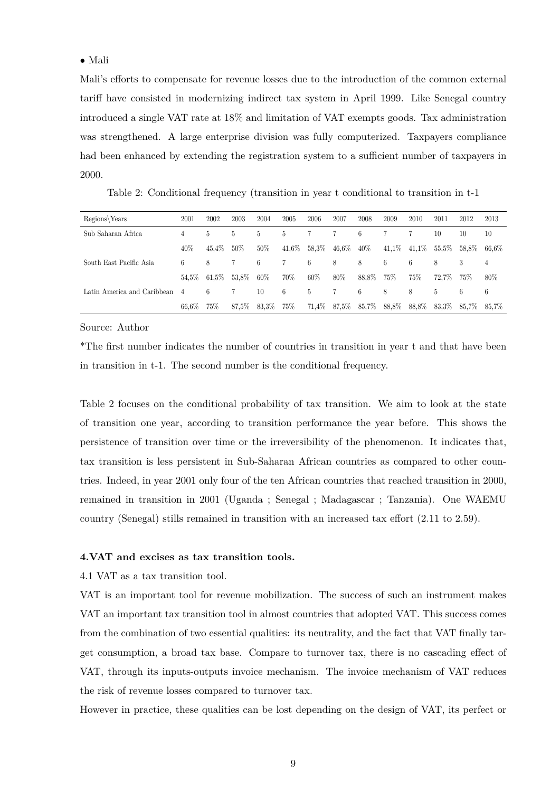### • Mali

Mali's efforts to compensate for revenue losses due to the introduction of the common external tariff have consisted in modernizing indirect tax system in April 1999. Like Senegal country introduced a single VAT rate at 18% and limitation of VAT exempts goods. Tax administration was strengthened. A large enterprise division was fully computerized. Taxpayers compliance had been enhanced by extending the registration system to a sufficient number of taxpayers in 2000.

Table 2: Conditional frequency (transition in year t conditional to transition in t-1

| Regions Years               | 2001  | 2002     | 2003  | 2004   | 2005     | 2006     | 2007     | 2008   | 2009   | 2010   | 2011     | 2012  | 2013     |
|-----------------------------|-------|----------|-------|--------|----------|----------|----------|--------|--------|--------|----------|-------|----------|
| Sub Saharan Africa          | 4     | 5        | 5.    | b.     | 5        |          |          | 6      |        |        | 10       | 10    | 10       |
|                             | 40%   | 45.4%    | 50%   | $50\%$ | $41,6\%$ | $58.3\%$ | $46.6\%$ | $40\%$ | 41.1\% | 41.1\% | $55.5\%$ | 58.8% | $66.6\%$ |
| South East Pacific Asia     | 6     | 8        |       | 6      |          | 6        | 8        | 8      | 6      | 6      | 8        | 3     | 4        |
|                             | 54.5% | $61.5\%$ | 53.8% | 60%    | 70%      | 60%      | 80%      | 88,8%  | 75%    | 75%    | 72.7%    | 75%   | $80\%$   |
| Latin America and Caribbean | 4     | 6        |       | 10     | 6        | 5        |          | 6      | 8      | 8      | 5        | 6     | 6        |
|                             | 66.6% | 75%      | 87,5% | 83.3%  | 75%      | $71,4\%$ | $87,5\%$ | 85,7%  | 88,8%  | 88.8%  | 83.3%    | 85.7% | 85.7%    |

#### Source: Author

\*The first number indicates the number of countries in transition in year t and that have been in transition in t-1. The second number is the conditional frequency.

Table 2 focuses on the conditional probability of tax transition. We aim to look at the state of transition one year, according to transition performance the year before. This shows the persistence of transition over time or the irreversibility of the phenomenon. It indicates that, tax transition is less persistent in Sub-Saharan African countries as compared to other countries. Indeed, in year 2001 only four of the ten African countries that reached transition in 2000, remained in transition in 2001 (Uganda ; Senegal ; Madagascar ; Tanzania). One WAEMU country (Senegal) stills remained in transition with an increased tax effort (2.11 to 2.59).

#### **4.VAT and excises as tax transition tools.**

4.1 VAT as a tax transition tool.

VAT is an important tool for revenue mobilization. The success of such an instrument makes VAT an important tax transition tool in almost countries that adopted VAT. This success comes from the combination of two essential qualities: its neutrality, and the fact that VAT finally target consumption, a broad tax base. Compare to turnover tax, there is no cascading effect of VAT, through its inputs-outputs invoice mechanism. The invoice mechanism of VAT reduces the risk of revenue losses compared to turnover tax.

However in practice, these qualities can be lost depending on the design of VAT, its perfect or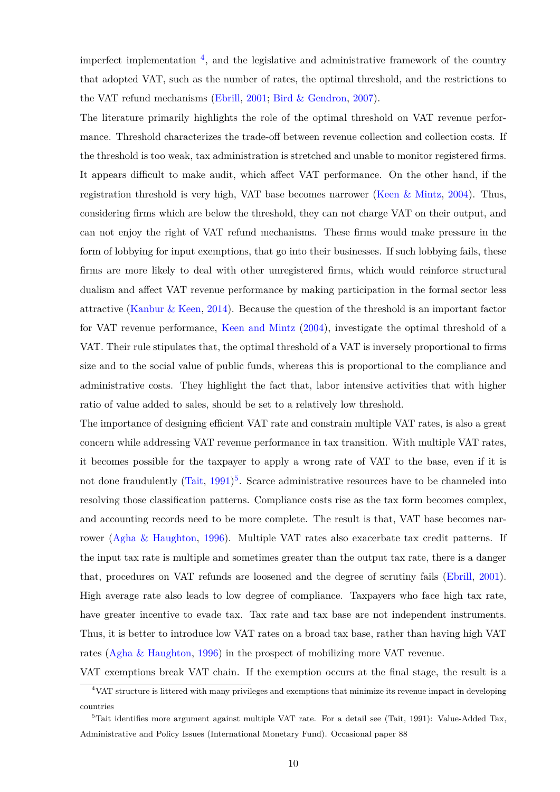imperfect implementation [4](#page-9-0) , and the legislative and administrative framework of the country that adopted VAT, such as the number of rates, the optimal threshold, and the restrictions to the VAT refund mechanisms [\(Ebrill,](#page-33-3) [2001;](#page-33-3) [Bird & Gendron,](#page-32-5) [2007\)](#page-32-5).

The literature primarily highlights the role of the optimal threshold on VAT revenue performance. Threshold characterizes the trade-off between revenue collection and collection costs. If the threshold is too weak, tax administration is stretched and unable to monitor registered firms. It appears difficult to make audit, which affect VAT performance. On the other hand, if the registration threshold is very high, VAT base becomes narrower (Keen  $\&$  Mintz, [2004\)](#page-34-4). Thus, considering firms which are below the threshold, they can not charge VAT on their output, and can not enjoy the right of VAT refund mechanisms. These firms would make pressure in the form of lobbying for input exemptions, that go into their businesses. If such lobbying fails, these firms are more likely to deal with other unregistered firms, which would reinforce structural dualism and affect VAT revenue performance by making participation in the formal sector less attractive [\(Kanbur & Keen,](#page-33-7) [2014\)](#page-33-7). Because the question of the threshold is an important factor for VAT revenue performance, [Keen and Mintz](#page-34-4) [\(2004\)](#page-34-4), investigate the optimal threshold of a VAT. Their rule stipulates that, the optimal threshold of a VAT is inversely proportional to firms size and to the social value of public funds, whereas this is proportional to the compliance and administrative costs. They highlight the fact that, labor intensive activities that with higher ratio of value added to sales, should be set to a relatively low threshold.

The importance of designing efficient VAT rate and constrain multiple VAT rates, is also a great concern while addressing VAT revenue performance in tax transition. With multiple VAT rates, it becomes possible for the taxpayer to apply a wrong rate of VAT to the base, even if it is not done fraudulently  $(Tait, 1991)^5$  $(Tait, 1991)^5$  $(Tait, 1991)^5$  $(Tait, 1991)^5$  $(Tait, 1991)^5$ . Scarce administrative resources have to be channeled into resolving those classification patterns. Compliance costs rise as the tax form becomes complex, and accounting records need to be more complete. The result is that, VAT base becomes narrower [\(Agha & Haughton,](#page-32-10) [1996\)](#page-32-10). Multiple VAT rates also exacerbate tax credit patterns. If the input tax rate is multiple and sometimes greater than the output tax rate, there is a danger that, procedures on VAT refunds are loosened and the degree of scrutiny fails [\(Ebrill,](#page-33-3) [2001\)](#page-33-3). High average rate also leads to low degree of compliance. Taxpayers who face high tax rate, have greater incentive to evade tax. Tax rate and tax base are not independent instruments. Thus, it is better to introduce low VAT rates on a broad tax base, rather than having high VAT rates [\(Agha & Haughton,](#page-32-10) [1996\)](#page-32-10) in the prospect of mobilizing more VAT revenue.

<span id="page-9-0"></span>VAT exemptions break VAT chain. If the exemption occurs at the final stage, the result is a <sup>4</sup>VAT structure is littered with many privileges and exemptions that minimize its revenue impact in developing countries

<span id="page-9-1"></span> $5$ Tait identifies more argument against multiple VAT rate. For a detail see (Tait, 1991): Value-Added Tax, Administrative and Policy Issues (International Monetary Fund). Occasional paper 88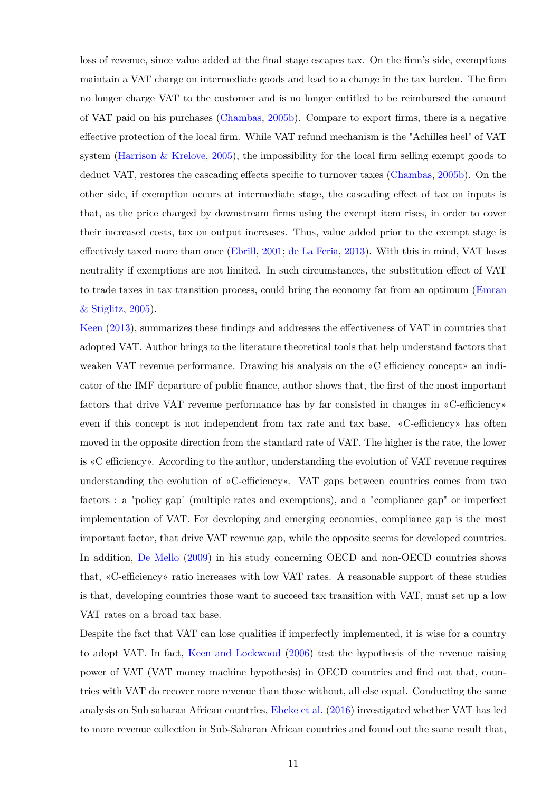loss of revenue, since value added at the final stage escapes tax. On the firm's side, exemptions maintain a VAT charge on intermediate goods and lead to a change in the tax burden. The firm no longer charge VAT to the customer and is no longer entitled to be reimbursed the amount of VAT paid on his purchases [\(Chambas,](#page-32-4) [2005b\)](#page-32-4). Compare to export firms, there is a negative effective protection of the local firm. While VAT refund mechanism is the "Achilles heel" of VAT system (Harrison  $\&$  Krelove, [2005\)](#page-33-8), the impossibility for the local firm selling exempt goods to deduct VAT, restores the cascading effects specific to turnover taxes [\(Chambas,](#page-32-4) [2005b\)](#page-32-4). On the other side, if exemption occurs at intermediate stage, the cascading effect of tax on inputs is that, as the price charged by downstream firms using the exempt item rises, in order to cover their increased costs, tax on output increases. Thus, value added prior to the exempt stage is effectively taxed more than once [\(Ebrill,](#page-33-3) [2001;](#page-33-3) [de La Feria,](#page-33-9) [2013\)](#page-33-9). With this in mind, VAT loses neutrality if exemptions are not limited. In such circumstances, the substitution effect of VAT to trade taxes in tax transition process, could bring the economy far from an optimum [\(Emran](#page-33-10) [& Stiglitz,](#page-33-10) [2005\)](#page-33-10).

[Keen](#page-33-11) [\(2013\)](#page-33-11), summarizes these findings and addresses the effectiveness of VAT in countries that adopted VAT. Author brings to the literature theoretical tools that help understand factors that weaken VAT revenue performance. Drawing his analysis on the «C efficiency concept» an indicator of the IMF departure of public finance, author shows that, the first of the most important factors that drive VAT revenue performance has by far consisted in changes in «C-efficiency» even if this concept is not independent from tax rate and tax base. «C-efficiency» has often moved in the opposite direction from the standard rate of VAT. The higher is the rate, the lower is «C efficiency». According to the author, understanding the evolution of VAT revenue requires understanding the evolution of «C-efficiency». VAT gaps between countries comes from two factors : a "policy gap" (multiple rates and exemptions), and a "compliance gap" or imperfect implementation of VAT. For developing and emerging economies, compliance gap is the most important factor, that drive VAT revenue gap, while the opposite seems for developed countries. In addition, [De Mello](#page-33-12) [\(2009\)](#page-33-12) in his study concerning OECD and non-OECD countries shows that, «C-efficiency» ratio increases with low VAT rates. A reasonable support of these studies is that, developing countries those want to succeed tax transition with VAT, must set up a low VAT rates on a broad tax base.

Despite the fact that VAT can lose qualities if imperfectly implemented, it is wise for a country to adopt VAT. In fact, [Keen and Lockwood](#page-34-6) [\(2006\)](#page-34-6) test the hypothesis of the revenue raising power of VAT (VAT money machine hypothesis) in OECD countries and find out that, countries with VAT do recover more revenue than those without, all else equal. Conducting the same analysis on Sub saharan African countries, [Ebeke et al.](#page-33-13) [\(2016\)](#page-33-13) investigated whether VAT has led to more revenue collection in Sub-Saharan African countries and found out the same result that,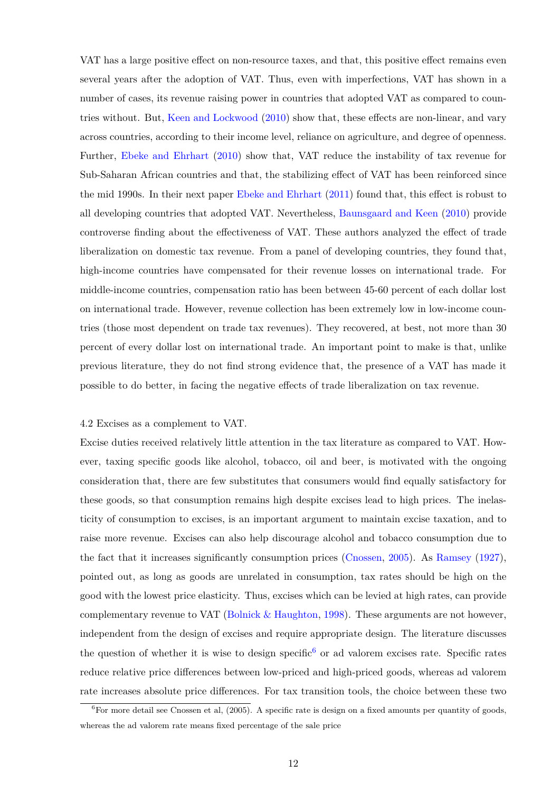VAT has a large positive effect on non-resource taxes, and that, this positive effect remains even several years after the adoption of VAT. Thus, even with imperfections, VAT has shown in a number of cases, its revenue raising power in countries that adopted VAT as compared to countries without. But, [Keen and Lockwood](#page-34-7) [\(2010\)](#page-34-7) show that, these effects are non-linear, and vary across countries, according to their income level, reliance on agriculture, and degree of openness. Further, [Ebeke and Ehrhart](#page-33-4) [\(2010\)](#page-33-4) show that, VAT reduce the instability of tax revenue for Sub-Saharan African countries and that, the stabilizing effect of VAT has been reinforced since the mid 1990s. In their next paper [Ebeke and Ehrhart](#page-33-5) [\(2011\)](#page-33-5) found that, this effect is robust to all developing countries that adopted VAT. Nevertheless, [Baunsgaard and Keen](#page-32-11) [\(2010\)](#page-32-11) provide controverse finding about the effectiveness of VAT. These authors analyzed the effect of trade liberalization on domestic tax revenue. From a panel of developing countries, they found that, high-income countries have compensated for their revenue losses on international trade. For middle-income countries, compensation ratio has been between 45-60 percent of each dollar lost on international trade. However, revenue collection has been extremely low in low-income countries (those most dependent on trade tax revenues). They recovered, at best, not more than 30 percent of every dollar lost on international trade. An important point to make is that, unlike previous literature, they do not find strong evidence that, the presence of a VAT has made it possible to do better, in facing the negative effects of trade liberalization on tax revenue.

#### 4.2 Excises as a complement to VAT.

Excise duties received relatively little attention in the tax literature as compared to VAT. However, taxing specific goods like alcohol, tobacco, oil and beer, is motivated with the ongoing consideration that, there are few substitutes that consumers would find equally satisfactory for these goods, so that consumption remains high despite excises lead to high prices. The inelasticity of consumption to excises, is an important argument to maintain excise taxation, and to raise more revenue. Excises can also help discourage alcohol and tobacco consumption due to the fact that it increases significantly consumption prices [\(Cnossen,](#page-33-14) [2005\)](#page-33-14). As [Ramsey](#page-34-8) [\(1927\)](#page-34-8), pointed out, as long as goods are unrelated in consumption, tax rates should be high on the good with the lowest price elasticity. Thus, excises which can be levied at high rates, can provide complementary revenue to VAT (Bolnick  $&$  Haughton, [1998\)](#page-32-7). These arguments are not however, independent from the design of excises and require appropriate design. The literature discusses the question of whether it is wise to design specific<sup>[6](#page-11-0)</sup> or ad valorem excises rate. Specific rates reduce relative price differences between low-priced and high-priced goods, whereas ad valorem rate increases absolute price differences. For tax transition tools, the choice between these two

<span id="page-11-0"></span> ${}^{6}$ For more detail see Cnossen et al, (2005). A specific rate is design on a fixed amounts per quantity of goods, whereas the ad valorem rate means fixed percentage of the sale price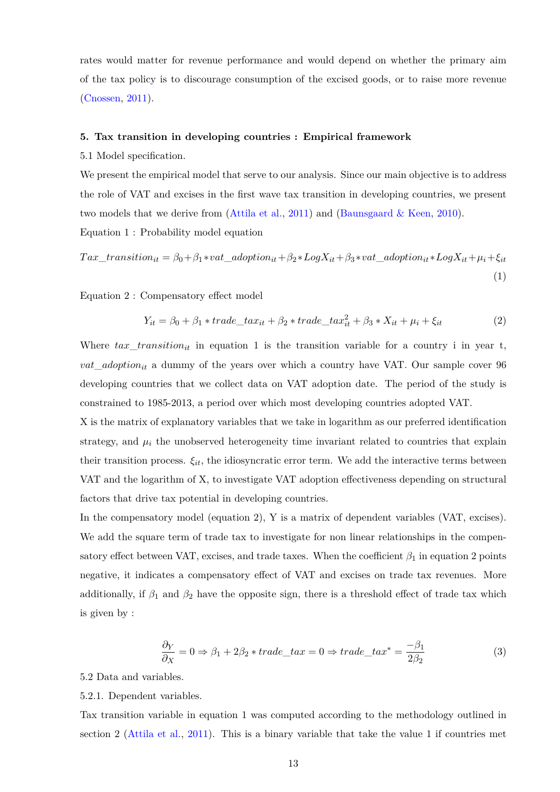rates would matter for revenue performance and would depend on whether the primary aim of the tax policy is to discourage consumption of the excised goods, or to raise more revenue [\(Cnossen,](#page-33-2) [2011\)](#page-33-2).

#### **5. Tax transition in developing countries : Empirical framework**

5.1 Model specification.

We present the empirical model that serve to our analysis. Since our main objective is to address the role of VAT and excises in the first wave tax transition in developing countries, we present two models that we derive from [\(Attila et al.,](#page-32-9) [2011\)](#page-32-9) and [\(Baunsgaard & Keen,](#page-32-11) [2010\)](#page-32-11). Equation 1 : Probability model equation

$$
Tax\_transition_{it} = \beta_0 + \beta_1 * vat\_adoption_{it} + \beta_2 * LogX_{it} + \beta_3 * vat\_adoption_{it} * LogX_{it} + \mu_i + \xi_{it}
$$
\n(1)

Equation 2 : Compensatory effect model

$$
Y_{it} = \beta_0 + \beta_1 * trade\_tax_{it} + \beta_2 * trade\_tax_{it}^2 + \beta_3 * X_{it} + \mu_i + \xi_{it}
$$
 (2)

Where  $tax\_transition_{it}$  in equation 1 is the transition variable for a country i in year t, *vat*\_*adoptionit* a dummy of the years over which a country have VAT. Our sample cover 96 developing countries that we collect data on VAT adoption date. The period of the study is constrained to 1985-2013, a period over which most developing countries adopted VAT.

X is the matrix of explanatory variables that we take in logarithm as our preferred identification strategy, and  $\mu_i$  the unobserved heterogeneity time invariant related to countries that explain their transition process.  $\xi_{it}$ , the idiosyncratic error term. We add the interactive terms between VAT and the logarithm of X, to investigate VAT adoption effectiveness depending on structural factors that drive tax potential in developing countries.

In the compensatory model (equation 2), Y is a matrix of dependent variables (VAT, excises). We add the square term of trade tax to investigate for non linear relationships in the compensatory effect between VAT, excises, and trade taxes. When the coefficient  $\beta_1$  in equation 2 points negative, it indicates a compensatory effect of VAT and excises on trade tax revenues. More additionally, if  $\beta_1$  and  $\beta_2$  have the opposite sign, there is a threshold effect of trade tax which is given by :

$$
\frac{\partial Y}{\partial x} = 0 \Rightarrow \beta_1 + 2\beta_2 * trade\_tax = 0 \Rightarrow trade\_tax^* = \frac{-\beta_1}{2\beta_2}
$$
\n(3)

5.2 Data and variables.

### 5.2.1. Dependent variables.

Tax transition variable in equation 1 was computed according to the methodology outlined in section 2 [\(Attila et al.,](#page-32-9) [2011\)](#page-32-9). This is a binary variable that take the value 1 if countries met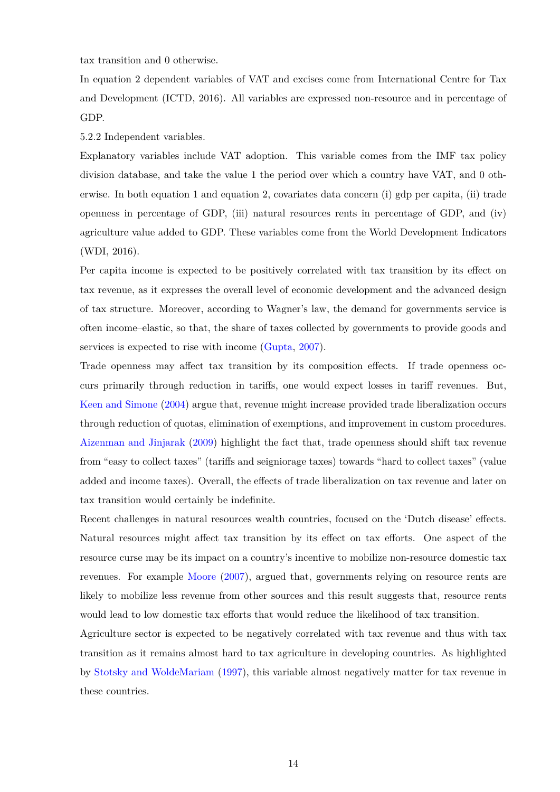tax transition and 0 otherwise.

In equation 2 dependent variables of VAT and excises come from International Centre for Tax and Development (ICTD, 2016). All variables are expressed non-resource and in percentage of GDP.

5.2.2 Independent variables.

Explanatory variables include VAT adoption. This variable comes from the IMF tax policy division database, and take the value 1 the period over which a country have VAT, and 0 otherwise. In both equation 1 and equation 2, covariates data concern (i) gdp per capita, (ii) trade openness in percentage of GDP, (iii) natural resources rents in percentage of GDP, and (iv) agriculture value added to GDP. These variables come from the World Development Indicators (WDI, 2016).

Per capita income is expected to be positively correlated with tax transition by its effect on tax revenue, as it expresses the overall level of economic development and the advanced design of tax structure. Moreover, according to Wagner's law, the demand for governments service is often income–elastic, so that, the share of taxes collected by governments to provide goods and services is expected to rise with income [\(Gupta,](#page-33-15) [2007\)](#page-33-15).

Trade openness may affect tax transition by its composition effects. If trade openness occurs primarily through reduction in tariffs, one would expect losses in tariff revenues. But, [Keen and Simone](#page-34-2) [\(2004\)](#page-34-2) argue that, revenue might increase provided trade liberalization occurs through reduction of quotas, elimination of exemptions, and improvement in custom procedures. [Aizenman and Jinjarak](#page-32-12) [\(2009\)](#page-32-12) highlight the fact that, trade openness should shift tax revenue from "easy to collect taxes" (tariffs and seigniorage taxes) towards "hard to collect taxes" (value added and income taxes). Overall, the effects of trade liberalization on tax revenue and later on tax transition would certainly be indefinite.

Recent challenges in natural resources wealth countries, focused on the 'Dutch disease' effects. Natural resources might affect tax transition by its effect on tax efforts. One aspect of the resource curse may be its impact on a country's incentive to mobilize non-resource domestic tax revenues. For example [Moore](#page-34-9) [\(2007\)](#page-34-9), argued that, governments relying on resource rents are likely to mobilize less revenue from other sources and this result suggests that, resource rents would lead to low domestic tax efforts that would reduce the likelihood of tax transition.

Agriculture sector is expected to be negatively correlated with tax revenue and thus with tax transition as it remains almost hard to tax agriculture in developing countries. As highlighted by [Stotsky and WoldeMariam](#page-34-10) [\(1997\)](#page-34-10), this variable almost negatively matter for tax revenue in these countries.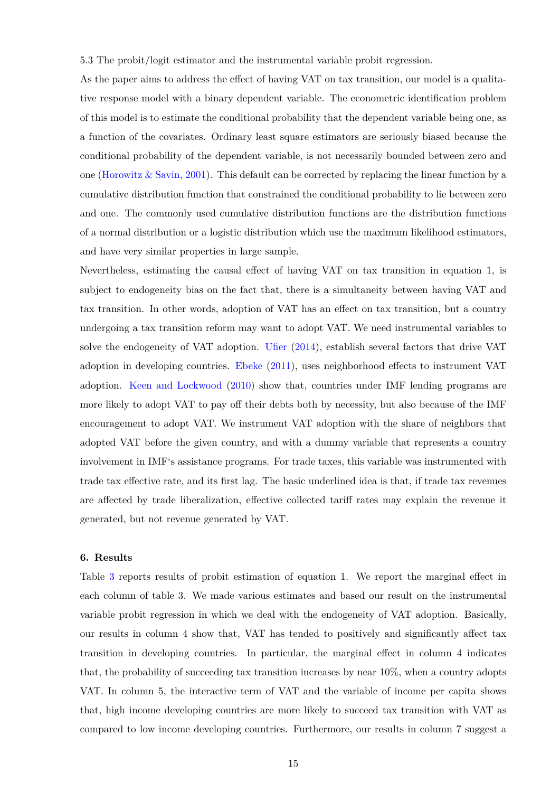5.3 The probit/logit estimator and the instrumental variable probit regression.

As the paper aims to address the effect of having VAT on tax transition, our model is a qualitative response model with a binary dependent variable. The econometric identification problem of this model is to estimate the conditional probability that the dependent variable being one, as a function of the covariates. Ordinary least square estimators are seriously biased because the conditional probability of the dependent variable, is not necessarily bounded between zero and one (Horowitz  $&$  Savin, [2001\)](#page-33-16). This default can be corrected by replacing the linear function by a cumulative distribution function that constrained the conditional probability to lie between zero and one. The commonly used cumulative distribution functions are the distribution functions of a normal distribution or a logistic distribution which use the maximum likelihood estimators, and have very similar properties in large sample.

Nevertheless, estimating the causal effect of having VAT on tax transition in equation 1, is subject to endogeneity bias on the fact that, there is a simultaneity between having VAT and tax transition. In other words, adoption of VAT has an effect on tax transition, but a country undergoing a tax transition reform may want to adopt VAT. We need instrumental variables to solve the endogeneity of VAT adoption. [Ufier](#page-34-3) [\(2014\)](#page-34-3), establish several factors that drive VAT adoption in developing countries. [Ebeke](#page-33-17) [\(2011\)](#page-33-17), uses neighborhood effects to instrument VAT adoption. [Keen and Lockwood](#page-34-7) [\(2010\)](#page-34-7) show that, countries under IMF lending programs are more likely to adopt VAT to pay off their debts both by necessity, but also because of the IMF encouragement to adopt VAT. We instrument VAT adoption with the share of neighbors that adopted VAT before the given country, and with a dummy variable that represents a country involvement in IMF's assistance programs. For trade taxes, this variable was instrumented with trade tax effective rate, and its first lag. The basic underlined idea is that, if trade tax revenues are affected by trade liberalization, effective collected tariff rates may explain the revenue it generated, but not revenue generated by VAT.

### **6. Results**

Table [3](#page-15-0) reports results of probit estimation of equation 1. We report the marginal effect in each column of table 3. We made various estimates and based our result on the instrumental variable probit regression in which we deal with the endogeneity of VAT adoption. Basically, our results in column 4 show that, VAT has tended to positively and significantly affect tax transition in developing countries. In particular, the marginal effect in column 4 indicates that, the probability of succeeding tax transition increases by near 10%, when a country adopts VAT. In column 5, the interactive term of VAT and the variable of income per capita shows that, high income developing countries are more likely to succeed tax transition with VAT as compared to low income developing countries. Furthermore, our results in column 7 suggest a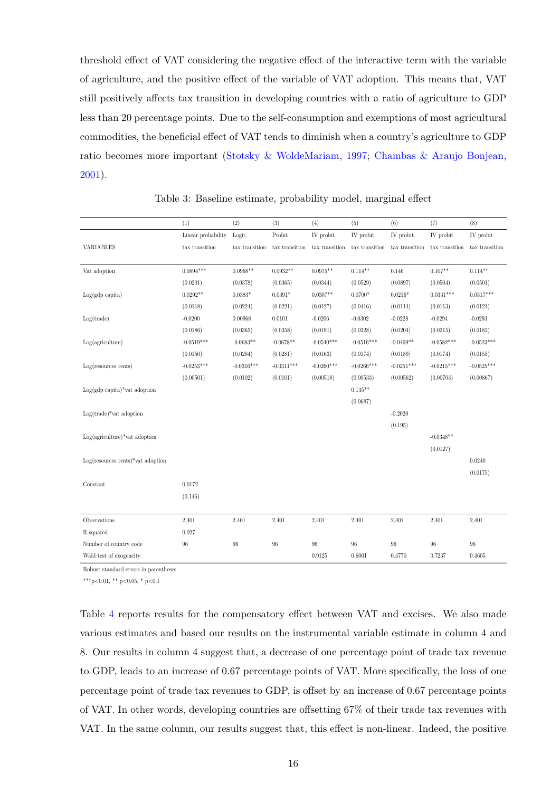threshold effect of VAT considering the negative effect of the interactive term with the variable of agriculture, and the positive effect of the variable of VAT adoption. This means that, VAT still positively affects tax transition in developing countries with a ratio of agriculture to GDP less than 20 percentage points. Due to the self-consumption and exemptions of most agricultural commodities, the beneficial effect of VAT tends to diminish when a country's agriculture to GDP ratio becomes more important [\(Stotsky & WoldeMariam,](#page-34-10) [1997;](#page-34-10) [Chambas & Araujo Bonjean,](#page-32-13) [2001\)](#page-32-13).

<span id="page-15-0"></span>

|                                        | (1)                | (2)            | (3)            | (4)            | (5)            | (6)            | (7)            | (8)            |
|----------------------------------------|--------------------|----------------|----------------|----------------|----------------|----------------|----------------|----------------|
|                                        | Linear probability | Logit          | Probit         | IV probit      | IV probit      | IV probit      | IV probit      | IV probit      |
| VARIABLES                              | tax transition     | tax transition | tax transition | tax transition | tax transition | tax transition | tax transition | tax transition |
|                                        |                    |                |                |                |                |                |                |                |
| Vat adoption                           | $0.0894***$        | $0.0968**$     | $0.0932**$     | $0.0975**$     | $0.114**$      | 0.146          | $0.107**$      | $0.114**$      |
|                                        | (0.0201)           | (0.0378)       | (0.0365)       | (0.0344)       | (0.0529)       | (0.0897)       | (0.0504)       | (0.0501)       |
| $Log(gdp \; capita)$                   | $0.0292**$         | $0.0383*$      | $0.0391*$      | $0.0307**$     | $0.0700*$      | $0.0216*$      | $0.0331***$    | $0.0317***$    |
|                                        | (0.0118)           | (0.0224)       | (0.0221)       | (0.0127)       | (0.0416)       | (0.0114)       | (0.0113)       | (0.0121)       |
| Log(trainde)                           | $-0.0200$          | 0.00968        | 0.0101         | $-0.0206$      | $-0.0302$      | $-0.0228$      | $-0.0294$      | $-0.0293$      |
|                                        | (0.0186)           | (0.0365)       | (0.0358)       | (0.0191)       | (0.0228)       | (0.0204)       | (0.0215)       | (0.0182)       |
| Log(agriculture)                       | $-0.0519***$       | $-0.0683**$    | $-0.0678**$    | $-0.0540***$   | $-0.0516***$   | $-0.0469**$    | $-0.0582***$   | $-0.0523***$   |
|                                        | (0.0150)           | (0.0284)       | (0.0281)       | (0.0163)       | (0.0174)       | (0.0189)       | (0.0174)       | (0.0155)       |
| $Log(resources$ rents)                 | $-0.0253***$       | $-0.0316***$   | $-0.0311***$   | $-0.0260***$   | $-0.0266***$   | $-0.0251***$   | $-0.0215***$   | $-0.0525***$   |
|                                        | (0.00501)          | (0.0102)       | (0.0101)       | (0.00518)      | (0.00533)      | (0.00562)      | (0.00703)      | (0.00867)      |
| $Log(gdp \text{ capita})$ vat adoption |                    |                |                |                | $0.135**$      |                |                |                |
|                                        |                    |                |                |                | (0.0687)       |                |                |                |
| $Log(trainde)*\text{vat adoption}$     |                    |                |                |                |                | $-0.2020$      |                |                |
|                                        |                    |                |                |                |                | (0.195)        |                |                |
| $Log(agriculture)*vat adoption$        |                    |                |                |                |                |                | $-0.0348**$    |                |
|                                        |                    |                |                |                |                |                | (0.0127)       |                |
| $Log(resources$ rents)*vat adoption    |                    |                |                |                |                |                |                | 0.0240         |
|                                        |                    |                |                |                |                |                |                | (0.0175)       |
| Constant                               | 0.0172             |                |                |                |                |                |                |                |
|                                        | (0.146)            |                |                |                |                |                |                |                |
|                                        |                    |                |                |                |                |                |                |                |
| Observations                           | 2,401              | 2,401          | 2,401          | 2,401          | 2,401          | 2,401          | 2,401          | 2,401          |
| R-squared                              | 0.027              |                |                |                |                |                |                |                |
| Number of country code                 | 96                 | 96             | 96             | 96             | 96             | 96             | 96             | 96             |
| Wald test of exogeneity                |                    |                |                | 0.9125         | 0.6001         | 0.4770         | 0.7237         | 0.4605         |

Table 3: Baseline estimate, probability model, marginal effect

Robust standard errors in parentheses

\*\*\*p<0.01, \*\* p<0.05, \* p<0.1

Table [4](#page-16-0) reports results for the compensatory effect between VAT and excises. We also made various estimates and based our results on the instrumental variable estimate in column 4 and 8. Our results in column 4 suggest that, a decrease of one percentage point of trade tax revenue to GDP, leads to an increase of 0.67 percentage points of VAT. More specifically, the loss of one percentage point of trade tax revenues to GDP, is offset by an increase of 0.67 percentage points of VAT. In other words, developing countries are offsetting 67% of their trade tax revenues with VAT. In the same column, our results suggest that, this effect is non-linear. Indeed, the positive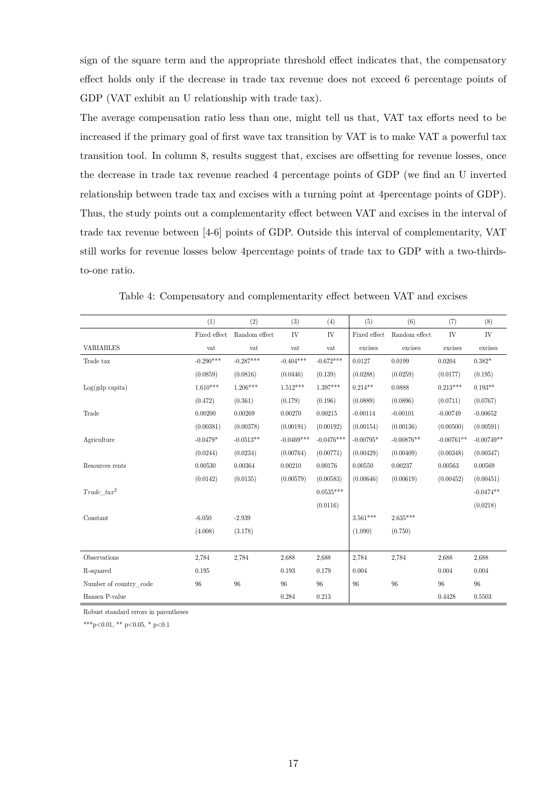sign of the square term and the appropriate threshold effect indicates that, the compensatory effect holds only if the decrease in trade tax revenue does not exceed 6 percentage points of GDP (VAT exhibit an U relationship with trade tax).

The average compensation ratio less than one, might tell us that, VAT tax efforts need to be increased if the primary goal of first wave tax transition by VAT is to make VAT a powerful tax transition tool. In column 8, results suggest that, excises are offsetting for revenue losses, once the decrease in trade tax revenue reached 4 percentage points of GDP (we find an U inverted relationship between trade tax and excises with a turning point at 4percentage points of GDP). Thus, the study points out a complementarity effect between VAT and excises in the interval of trade tax revenue between [4-6] points of GDP. Outside this interval of complementarity, VAT still works for revenue losses below 4percentage points of trade tax to GDP with a two-thirdsto-one ratio.

<span id="page-16-0"></span>

|                        | (1)          | (2)           | (3)          | (4)          | (5)          | (6)           | (7)          | (8)          |
|------------------------|--------------|---------------|--------------|--------------|--------------|---------------|--------------|--------------|
|                        | Fixed effect | Random effect | IV           | IV           | Fixed effect | Random effect | IV           | IV           |
| <b>VARIABLES</b>       | vat          | vat           | vat          | vat          | excises      | excises       | excises      | excises      |
| Trade tax              | $-0.290***$  | $-0.287***$   | $-0.404***$  | $-0.672***$  | 0.0127       | 0.0199        | 0.0204       | $0.382*$     |
|                        | (0.0859)     | (0.0816)      | (0.0446)     | (0.139)      | (0.0288)     | (0.0259)      | (0.0177)     | (0.195)      |
| $Log(gdp \; capita)$   | $1.610***$   | $1.206***$    | $1.512***$   | $1.397***$   | $0.214**$    | 0.0888        | $0.213***$   | $0.193**$    |
|                        | (0.472)      | (0.361)       | (0.179)      | (0.196)      | (0.0889)     | (0.0896)      | (0.0711)     | (0.0767)     |
| Trade                  | 0.00200      | 0.00269       | 0.00270      | 0.00215      | $-0.00114$   | $-0.00101$    | $-0.00749$   | $-0.00652$   |
|                        | (0.00381)    | (0.00378)     | (0.00191)    | (0.00192)    | (0.00154)    | (0.00136)     | (0.00500)    | (0.00591)    |
| Agriculture            | $-0.0479*$   | $-0.0513**$   | $-0.0469***$ | $-0.0476***$ | $-0.00795*$  | $-0.00876**$  | $-0.00761**$ | $-0.00749**$ |
|                        | (0.0244)     | (0.0234)      | (0.00764)    | (0.00771)    | (0.00429)    | (0.00409)     | (0.00348)    | (0.00347)    |
| Resources rents        | 0.00530      | 0.00364       | 0.00210      | 0.00176      | 0.00550      | 0.00237       | 0.00563      | 0.00569      |
|                        | (0.0142)     | (0.0135)      | (0.00579)    | (0.00583)    | (0.00646)    | (0.00619)     | (0.00452)    | (0.00451)    |
| $Trade$ $tax^2$        |              |               |              | $0.0535***$  |              |               |              | $-0.0474**$  |
|                        |              |               |              | (0.0116)     |              |               |              | (0.0218)     |
| Constant               | $-6.050$     | $-2.939$      |              |              | $3.561***$   | $2.635***$    |              |              |
|                        | (4.008)      | (3.178)       |              |              | (1.090)      | (0.750)       |              |              |
|                        |              |               |              |              |              |               |              |              |
| Observations           | 2,784        | 2,784         | 2,688        | 2,688        | 2,784        | 2,784         | 2,688        | 2,688        |
| R-squared              | 0.195        |               | 0.193        | 0.179        | 0.004        |               | 0.004        | 0.004        |
| Number of country code | 96           | 96            | 96           | $96\,$       | 96           | 96            | 96           | 96           |
| Hansen P-value         |              |               | 0.284        | 0.213        |              |               | 0.4428       | 0.5503       |

Table 4: Compensatory and complementarity effect between VAT and excises

Robust standard errors in parentheses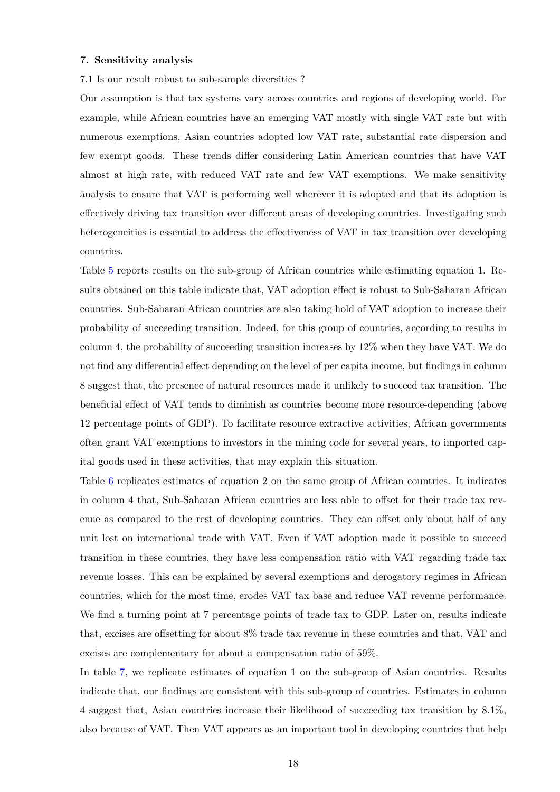#### **7. Sensitivity analysis**

7.1 Is our result robust to sub-sample diversities ?

Our assumption is that tax systems vary across countries and regions of developing world. For example, while African countries have an emerging VAT mostly with single VAT rate but with numerous exemptions, Asian countries adopted low VAT rate, substantial rate dispersion and few exempt goods. These trends differ considering Latin American countries that have VAT almost at high rate, with reduced VAT rate and few VAT exemptions. We make sensitivity analysis to ensure that VAT is performing well wherever it is adopted and that its adoption is effectively driving tax transition over different areas of developing countries. Investigating such heterogeneities is essential to address the effectiveness of VAT in tax transition over developing countries.

Table [5](#page-22-0) reports results on the sub-group of African countries while estimating equation 1. Results obtained on this table indicate that, VAT adoption effect is robust to Sub-Saharan African countries. Sub-Saharan African countries are also taking hold of VAT adoption to increase their probability of succeeding transition. Indeed, for this group of countries, according to results in column 4, the probability of succeeding transition increases by 12% when they have VAT. We do not find any differential effect depending on the level of per capita income, but findings in column 8 suggest that, the presence of natural resources made it unlikely to succeed tax transition. The beneficial effect of VAT tends to diminish as countries become more resource-depending (above 12 percentage points of GDP). To facilitate resource extractive activities, African governments often grant VAT exemptions to investors in the mining code for several years, to imported capital goods used in these activities, that may explain this situation.

Table [6](#page-22-1) replicates estimates of equation 2 on the same group of African countries. It indicates in column 4 that, Sub-Saharan African countries are less able to offset for their trade tax revenue as compared to the rest of developing countries. They can offset only about half of any unit lost on international trade with VAT. Even if VAT adoption made it possible to succeed transition in these countries, they have less compensation ratio with VAT regarding trade tax revenue losses. This can be explained by several exemptions and derogatory regimes in African countries, which for the most time, erodes VAT tax base and reduce VAT revenue performance. We find a turning point at 7 percentage points of trade tax to GDP. Later on, results indicate that, excises are offsetting for about 8% trade tax revenue in these countries and that, VAT and excises are complementary for about a compensation ratio of 59%.

In table [7,](#page-23-0) we replicate estimates of equation 1 on the sub-group of Asian countries. Results indicate that, our findings are consistent with this sub-group of countries. Estimates in column 4 suggest that, Asian countries increase their likelihood of succeeding tax transition by 8.1%, also because of VAT. Then VAT appears as an important tool in developing countries that help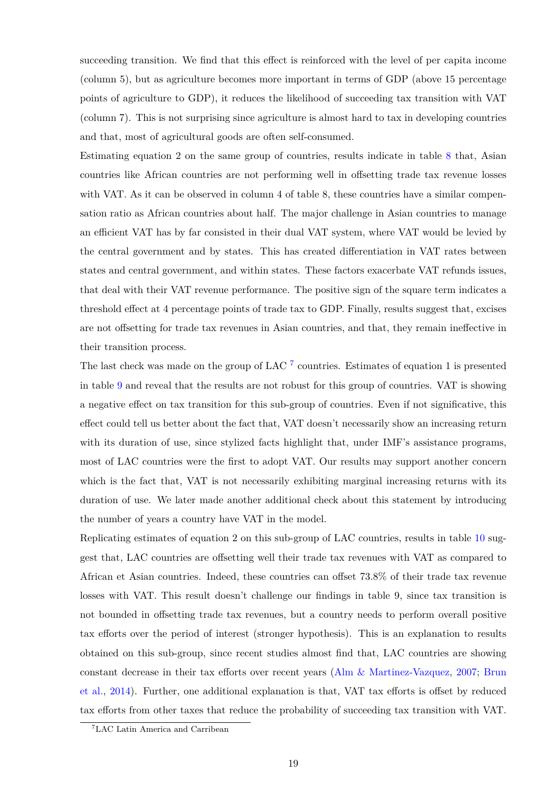succeeding transition. We find that this effect is reinforced with the level of per capita income (column 5), but as agriculture becomes more important in terms of GDP (above 15 percentage points of agriculture to GDP), it reduces the likelihood of succeeding tax transition with VAT (column 7). This is not surprising since agriculture is almost hard to tax in developing countries and that, most of agricultural goods are often self-consumed.

Estimating equation 2 on the same group of countries, results indicate in table [8](#page-23-1) that, Asian countries like African countries are not performing well in offsetting trade tax revenue losses with VAT. As it can be observed in column 4 of table 8, these countries have a similar compensation ratio as African countries about half. The major challenge in Asian countries to manage an efficient VAT has by far consisted in their dual VAT system, where VAT would be levied by the central government and by states. This has created differentiation in VAT rates between states and central government, and within states. These factors exacerbate VAT refunds issues, that deal with their VAT revenue performance. The positive sign of the square term indicates a threshold effect at 4 percentage points of trade tax to GDP. Finally, results suggest that, excises are not offsetting for trade tax revenues in Asian countries, and that, they remain ineffective in their transition process.

The last check was made on the group of LAC  $^7$  $^7$  countries. Estimates of equation 1 is presented in table [9](#page-24-0) and reveal that the results are not robust for this group of countries. VAT is showing a negative effect on tax transition for this sub-group of countries. Even if not significative, this effect could tell us better about the fact that, VAT doesn't necessarily show an increasing return with its duration of use, since stylized facts highlight that, under IMF's assistance programs, most of LAC countries were the first to adopt VAT. Our results may support another concern which is the fact that, VAT is not necessarily exhibiting marginal increasing returns with its duration of use. We later made another additional check about this statement by introducing the number of years a country have VAT in the model.

Replicating estimates of equation 2 on this sub-group of LAC countries, results in table [10](#page-24-1) suggest that, LAC countries are offsetting well their trade tax revenues with VAT as compared to African et Asian countries. Indeed, these countries can offset 73.8% of their trade tax revenue losses with VAT. This result doesn't challenge our findings in table 9, since tax transition is not bounded in offsetting trade tax revenues, but a country needs to perform overall positive tax efforts over the period of interest (stronger hypothesis). This is an explanation to results obtained on this sub-group, since recent studies almost find that, LAC countries are showing constant decrease in their tax efforts over recent years [\(Alm & Martinez-Vazquez,](#page-32-14) [2007;](#page-32-14) [Brun](#page-32-15) [et al.,](#page-32-15) [2014\)](#page-32-15). Further, one additional explanation is that, VAT tax efforts is offset by reduced tax efforts from other taxes that reduce the probability of succeeding tax transition with VAT.

<span id="page-18-0"></span><sup>7</sup>LAC Latin America and Carribean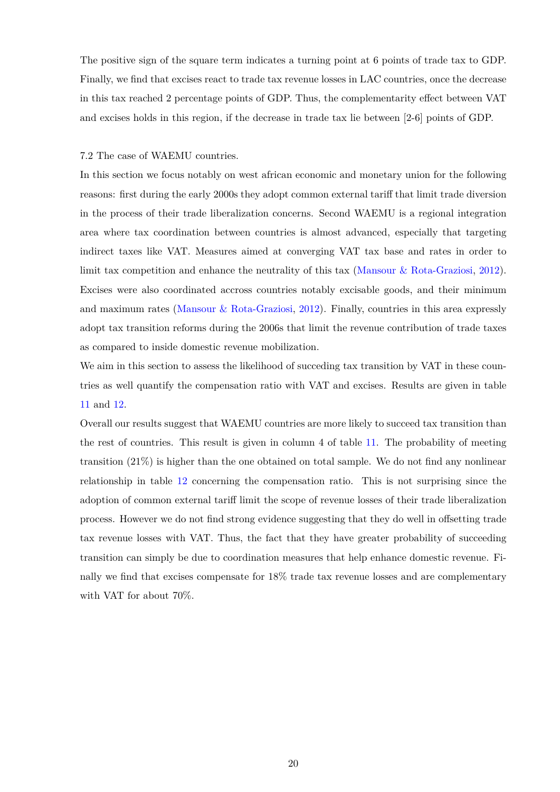The positive sign of the square term indicates a turning point at 6 points of trade tax to GDP. Finally, we find that excises react to trade tax revenue losses in LAC countries, once the decrease in this tax reached 2 percentage points of GDP. Thus, the complementarity effect between VAT and excises holds in this region, if the decrease in trade tax lie between [2-6] points of GDP.

### 7.2 The case of WAEMU countries.

In this section we focus notably on west african economic and monetary union for the following reasons: first during the early 2000s they adopt common external tariff that limit trade diversion in the process of their trade liberalization concerns. Second WAEMU is a regional integration area where tax coordination between countries is almost advanced, especially that targeting indirect taxes like VAT. Measures aimed at converging VAT tax base and rates in order to limit tax competition and enhance the neutrality of this tax [\(Mansour & Rota-Graziosi,](#page-34-11) [2012\)](#page-34-11). Excises were also coordinated accross countries notably excisable goods, and their minimum and maximum rates [\(Mansour & Rota-Graziosi,](#page-34-11) [2012\)](#page-34-11). Finally, countries in this area expressly adopt tax transition reforms during the 2006s that limit the revenue contribution of trade taxes as compared to inside domestic revenue mobilization.

We aim in this section to assess the likelihood of succeding tax transition by VAT in these countries as well quantify the compensation ratio with VAT and excises. Results are given in table [11](#page-25-0) and [12.](#page-25-1)

Overall our results suggest that WAEMU countries are more likely to succeed tax transition than the rest of countries. This result is given in column 4 of table [11.](#page-25-0) The probability of meeting transition (21%) is higher than the one obtained on total sample. We do not find any nonlinear relationship in table [12](#page-25-1) concerning the compensation ratio. This is not surprising since the adoption of common external tariff limit the scope of revenue losses of their trade liberalization process. However we do not find strong evidence suggesting that they do well in offsetting trade tax revenue losses with VAT. Thus, the fact that they have greater probability of succeeding transition can simply be due to coordination measures that help enhance domestic revenue. Finally we find that excises compensate for 18% trade tax revenue losses and are complementary with VAT for about 70%.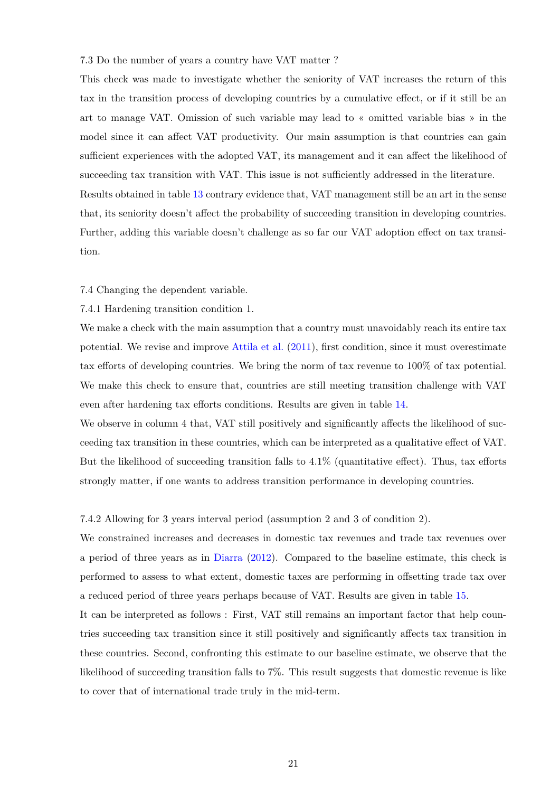7.3 Do the number of years a country have VAT matter ?

This check was made to investigate whether the seniority of VAT increases the return of this tax in the transition process of developing countries by a cumulative effect, or if it still be an art to manage VAT. Omission of such variable may lead to « omitted variable bias » in the model since it can affect VAT productivity. Our main assumption is that countries can gain sufficient experiences with the adopted VAT, its management and it can affect the likelihood of succeeding tax transition with VAT. This issue is not sufficiently addressed in the literature. Results obtained in table [13](#page-26-0) contrary evidence that, VAT management still be an art in the sense that, its seniority doesn't affect the probability of succeeding transition in developing countries. Further, adding this variable doesn't challenge as so far our VAT adoption effect on tax transition.

#### 7.4 Changing the dependent variable.

### 7.4.1 Hardening transition condition 1.

We make a check with the main assumption that a country must unavoidably reach its entire tax potential. We revise and improve [Attila et al.](#page-32-9) [\(2011\)](#page-32-9), first condition, since it must overestimate tax efforts of developing countries. We bring the norm of tax revenue to 100% of tax potential. We make this check to ensure that, countries are still meeting transition challenge with VAT even after hardening tax efforts conditions. Results are given in table [14.](#page-27-0)

We observe in column 4 that, VAT still positively and significantly affects the likelihood of succeeding tax transition in these countries, which can be interpreted as a qualitative effect of VAT. But the likelihood of succeeding transition falls to  $4.1\%$  (quantitative effect). Thus, tax efforts strongly matter, if one wants to address transition performance in developing countries.

#### 7.4.2 Allowing for 3 years interval period (assumption 2 and 3 of condition 2).

We constrained increases and decreases in domestic tax revenues and trade tax revenues over a period of three years as in [Diarra](#page-33-6) [\(2012\)](#page-33-6). Compared to the baseline estimate, this check is performed to assess to what extent, domestic taxes are performing in offsetting trade tax over a reduced period of three years perhaps because of VAT. Results are given in table [15.](#page-28-0)

It can be interpreted as follows : First, VAT still remains an important factor that help countries succeeding tax transition since it still positively and significantly affects tax transition in these countries. Second, confronting this estimate to our baseline estimate, we observe that the likelihood of succeeding transition falls to 7%. This result suggests that domestic revenue is like to cover that of international trade truly in the mid-term.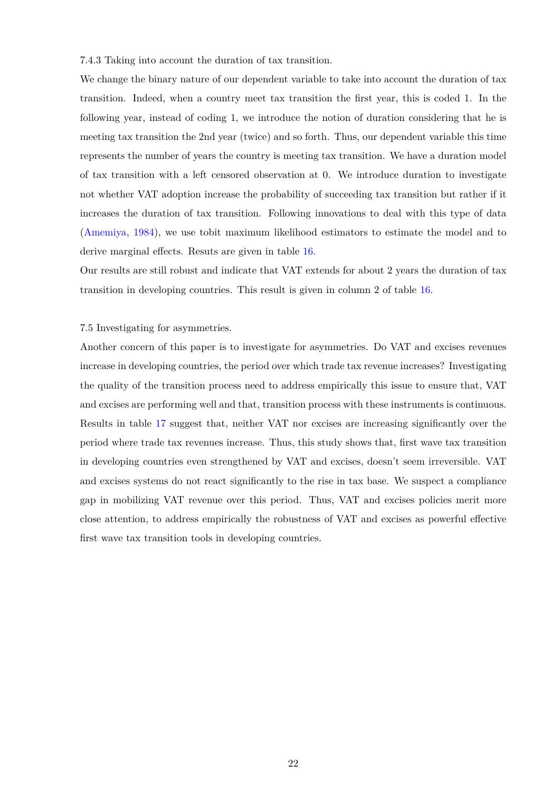7.4.3 Taking into account the duration of tax transition.

We change the binary nature of our dependent variable to take into account the duration of tax transition. Indeed, when a country meet tax transition the first year, this is coded 1. In the following year, instead of coding 1, we introduce the notion of duration considering that he is meeting tax transition the 2nd year (twice) and so forth. Thus, our dependent variable this time represents the number of years the country is meeting tax transition. We have a duration model of tax transition with a left censored observation at 0. We introduce duration to investigate not whether VAT adoption increase the probability of succeeding tax transition but rather if it increases the duration of tax transition. Following innovations to deal with this type of data [\(Amemiya,](#page-32-16) [1984\)](#page-32-16), we use tobit maximum likelihood estimators to estimate the model and to derive marginal effects. Resuts are given in table [16.](#page-29-0)

Our results are still robust and indicate that VAT extends for about 2 years the duration of tax transition in developing countries. This result is given in column 2 of table [16.](#page-29-0)

### 7.5 Investigating for asymmetries.

Another concern of this paper is to investigate for asymmetries. Do VAT and excises revenues increase in developing countries, the period over which trade tax revenue increases? Investigating the quality of the transition process need to address empirically this issue to ensure that, VAT and excises are performing well and that, transition process with these instruments is continuous. Results in table [17](#page-30-0) suggest that, neither VAT nor excises are increasing significantly over the period where trade tax revenues increase. Thus, this study shows that, first wave tax transition in developing countries even strengthened by VAT and excises, doesn't seem irreversible. VAT and excises systems do not react significantly to the rise in tax base. We suspect a compliance gap in mobilizing VAT revenue over this period. Thus, VAT and excises policies merit more close attention, to address empirically the robustness of VAT and excises as powerful effective first wave tax transition tools in developing countries.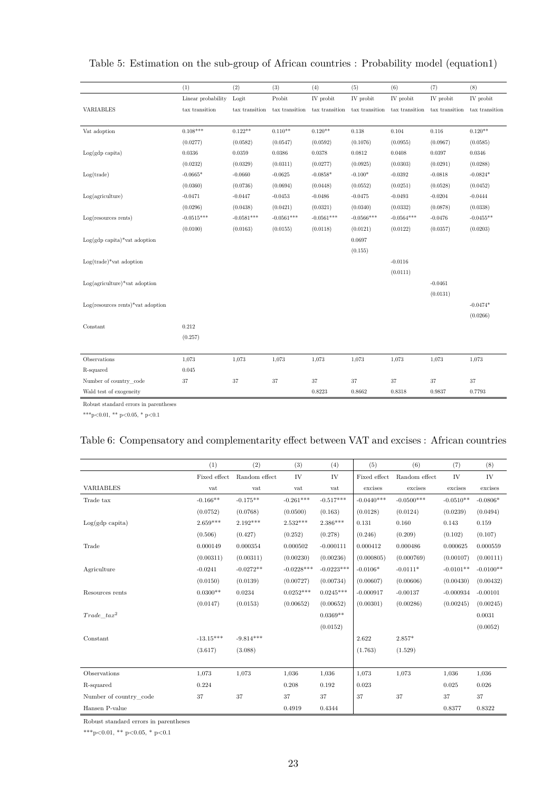|                                         | (1)                | (2)            | (3)            | (4)            | (5)            | (6)            | (7)            | (8)                 |
|-----------------------------------------|--------------------|----------------|----------------|----------------|----------------|----------------|----------------|---------------------|
|                                         | Linear probability | Logit          | Probit         | IV probit      | IV probit      | IV probit      | IV probit      | IV probit           |
| <b>VARIABLES</b>                        | tax transition     | tax transition | tax transition | tax transition | tax transition | tax transition | tax transition | $\tan x$ transition |
|                                         |                    |                |                |                |                |                |                |                     |
| Vat adoption                            | $0.108***$         | $0.122**$      | $0.110**$      | $0.120**$      | 0.138          | 0.104          | 0.116          | $0.120**$           |
|                                         | (0.0277)           | (0.0582)       | (0.0547)       | (0.0592)       | (0.1076)       | (0.0955)       | (0.0967)       | (0.0585)            |
| $Log(gdp \; capita)$                    | 0.0336             | 0.0359         | 0.0386         | $\,0.0378\,$   | 0.0812         | 0.0408         | 0.0397         | 0.0346              |
|                                         | (0.0232)           | (0.0329)       | (0.0311)       | (0.0277)       | (0.0925)       | (0.0303)       | (0.0291)       | (0.0288)            |
| Log(trainde)                            | $-0.0665*$         | $-0.0660$      | $-0.0625$      | $-0.0858*$     | $-0.100*$      | $-0.0392$      | $-0.0818$      | $-0.0824*$          |
|                                         | (0.0360)           | (0.0736)       | (0.0694)       | (0.0448)       | (0.0552)       | (0.0251)       | (0.0528)       | (0.0452)            |
| Log(agriculture)                        | $-0.0471$          | $-0.0447$      | $-0.0453$      | $-0.0486$      | $-0.0475$      | $-0.0493$      | $-0.0204$      | $-0.0444$           |
|                                         | (0.0296)           | (0.0438)       | (0.0421)       | (0.0321)       | (0.0340)       | (0.0332)       | (0.0878)       | (0.0338)            |
| $Log(resources$ rents)                  | $-0.0515***$       | $-0.0581***$   | $-0.0561***$   | $-0.0561***$   | $-0.0566***$   | $-0.0564***$   | $-0.0476$      | $-0.0455**$         |
|                                         | (0.0100)           | (0.0163)       | (0.0155)       | (0.0118)       | (0.0121)       | (0.0122)       | (0.0357)       | (0.0203)            |
| $Log(gdp \text{ capita})*$ vat adoption |                    |                |                |                | 0.0697         |                |                |                     |
|                                         |                    |                |                |                | (0.155)        |                |                |                     |
| $Log(trainde)*\text{vat adoption}$      |                    |                |                |                |                | $-0.0116$      |                |                     |
|                                         |                    |                |                |                |                | (0.0111)       |                |                     |
| $Log(agriculture)*vat adoption$         |                    |                |                |                |                |                | $-0.0461$      |                     |
|                                         |                    |                |                |                |                |                | (0.0131)       |                     |
| $Log(resources$ rents)*vat adoption     |                    |                |                |                |                |                |                | $-0.0474*$          |
|                                         |                    |                |                |                |                |                |                | (0.0266)            |
| Constant                                | 0.212              |                |                |                |                |                |                |                     |
|                                         | (0.257)            |                |                |                |                |                |                |                     |
|                                         |                    |                |                |                |                |                |                |                     |
| Observations                            | 1,073              | 1,073          | 1,073          | 1,073          | 1,073          | 1,073          | 1,073          | 1,073               |
| R-squared                               | 0.045              |                |                |                |                |                |                |                     |
| Number of country code                  | 37                 | 37             | $37\,$         | 37             | 37             | 37             | 37             | 37                  |
| Wald test of exogeneity                 |                    |                |                | 0.8223         | 0.8662         | 0.8318         | 0.9837         | 0.7793              |

# <span id="page-22-0"></span>Table 5: Estimation on the sub-group of African countries : Probability model (equation1)

Robust standard errors in parentheses

<span id="page-22-1"></span>\*\*\*p<0.01, \*\* p<0.05, \* p<0.1

## Table 6: Compensatory and complementarity effect between VAT and excises : African countries

|                           | (1)          | (2)           | (3)          | (4)          | (5)          | (6)           | (7)         | (8)         |
|---------------------------|--------------|---------------|--------------|--------------|--------------|---------------|-------------|-------------|
|                           | Fixed effect | Random effect | IV           | IV           | Fixed effect | Random effect | IV          | IV          |
| <b>VARIABLES</b>          | vat          | vat           | vat          | vat          | excises      | excises       | excises     | excises     |
| Trade tax                 | $-0.166**$   | $-0.175**$    | $-0.261***$  | $-0.517***$  | $-0.0440***$ | $-0.0500***$  | $-0.0510**$ | $-0.0806*$  |
|                           | (0.0752)     | (0.0768)      | (0.0500)     | (0.163)      | (0.0128)     | (0.0124)      | (0.0239)    | (0.0494)    |
| $Log(gdp \text{ capita})$ | $2.659***$   | $2.192***$    | $2.532***$   | $2.386***$   | 0.131        | 0.160         | 0.143       | 0.159       |
|                           | (0.506)      | (0.427)       | (0.252)      | (0.278)      | (0.246)      | (0.209)       | (0.102)     | (0.107)     |
| Trade                     | 0.000149     | 0.000354      | 0.000502     | $-0.000111$  | 0.000412     | 0.000486      | 0.000625    | 0.000559    |
|                           | (0.00311)    | (0.00311)     | (0.00230)    | (0.00236)    | (0.000805)   | (0.000769)    | (0.00107)   | (0.00111)   |
| Agriculture               | $-0.0241$    | $-0.0272**$   | $-0.0228***$ | $-0.0223***$ | $-0.0106*$   | $-0.0111*$    | $-0.0101**$ | $-0.0100**$ |
|                           | (0.0150)     | (0.0139)      | (0.00727)    | (0.00734)    | (0.00607)    | (0.00606)     | (0.00430)   | (0.00432)   |
| Resources rents           | $0.0300**$   | 0.0234        | $0.0252***$  | $0.0245***$  | $-0.000917$  | $-0.00137$    | $-0.000934$ | $-0.00101$  |
|                           | (0.0147)     | (0.0153)      | (0.00652)    | (0.00652)    | (0.00301)    | (0.00286)     | (0.00245)   | (0.00245)   |
| $Trade\ tax^2$            |              |               |              | $0.0369**$   |              |               |             | 0.0031      |
|                           |              |               |              | (0.0152)     |              |               |             | (0.0052)    |
| Constant                  | $-13.15***$  | $-9.814***$   |              |              | 2.622        | $2.857*$      |             |             |
|                           | (3.617)      | (3.088)       |              |              | (1.763)      | (1.529)       |             |             |
|                           |              |               |              |              |              |               |             |             |
| Observations              | 1,073        | 1,073         | 1,036        | 1,036        | 1.073        | 1,073         | 1,036       | 1,036       |
| R-squared                 | 0.224        |               | 0.208        | 0.192        | 0.023        |               | 0.025       | 0.026       |
| Number of country code    | 37           | 37            | 37           | 37           | 37           | 37            | 37          | 37          |
| Hansen P-value            |              |               | 0.4919       | 0.4344       |              |               | 0.8377      | 0.8322      |

Robust standard errors in parentheses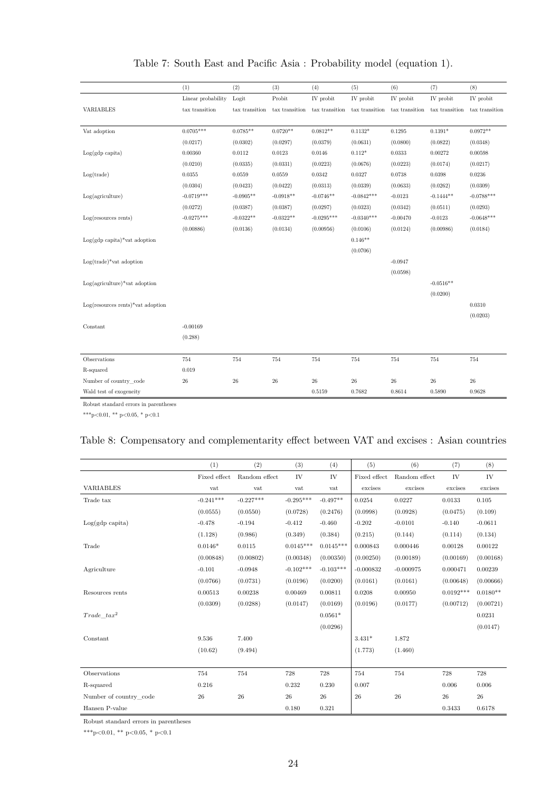<span id="page-23-0"></span>

|                                          | (1)                | (2)            | (3)            | (4)            | (5)            | (6)            | (7)            | (8)            |
|------------------------------------------|--------------------|----------------|----------------|----------------|----------------|----------------|----------------|----------------|
|                                          | Linear probability | Logit          | Probit         | IV probit      | IV probit      | IV probit      | IV probit      | IV probit      |
| <b>VARIABLES</b>                         | tax transition     | tax transition | tax transition | tax transition | tax transition | tax transition | tax transition | tax transition |
|                                          |                    |                |                |                |                |                |                |                |
| Vat adoption                             | $0.0705***$        | $0.0785**$     | $0.0720**$     | $0.0812**$     | $0.1132*$      | 0.1295         | $0.1391*$      | $0.0972**$     |
|                                          | (0.0217)           | (0.0302)       | (0.0297)       | (0.0379)       | (0.0631)       | (0.0800)       | (0.0822)       | (0.0348)       |
| $Log(gdp \; capita)$                     | 0.00360            | 0.0112         | 0.0123         | 0.0146         | $0.112*$       | 0.0333         | 0.00272        | 0.00598        |
|                                          | (0.0210)           | (0.0335)       | (0.0331)       | (0.0223)       | (0.0676)       | (0.0223)       | (0.0174)       | (0.0217)       |
| Log(trainde)                             | 0.0355             | 0.0559         | 0.0559         | 0.0342         | 0.0327         | 0.0738         | 0.0398         | 0.0236         |
|                                          | (0.0304)           | (0.0423)       | (0.0422)       | (0.0313)       | (0.0339)       | (0.0633)       | (0.0262)       | (0.0309)       |
| Log(agriculture)                         | $-0.0719***$       | $-0.0905**$    | $-0.0918**$    | $-0.0746**$    | $-0.0842***$   | $-0.0123$      | $-0.1444**$    | $-0.0788***$   |
|                                          | (0.0272)           | (0.0387)       | (0.0387)       | (0.0297)       | (0.0323)       | (0.0342)       | (0.0511)       | (0.0293)       |
| $Log(resources$ rents)                   | $-0.0275***$       | $-0.0322**$    | $-0.0322**$    | $-0.0295***$   | $-0.0340***$   | $-0.00470$     | $-0.0123$      | $-0.0648***$   |
|                                          | (0.00886)          | (0.0136)       | (0.0134)       | (0.00956)      | (0.0106)       | (0.0124)       | (0.00986)      | (0.0184)       |
| $Log(gdp \text{ capita})^*$ vat adoption |                    |                |                |                | $0.146**$      |                |                |                |
|                                          |                    |                |                |                | (0.0706)       |                |                |                |
| $Log(trainde)*\text{vat adoption}$       |                    |                |                |                |                | $-0.0947$      |                |                |
|                                          |                    |                |                |                |                | (0.0598)       |                |                |
| $Log(agriculture)*vat adoption$          |                    |                |                |                |                |                | $-0.0516**$    |                |
|                                          |                    |                |                |                |                |                | (0.0200)       |                |
| $Log(resources$ rents)*vat adoption      |                    |                |                |                |                |                |                | 0.0310         |
|                                          |                    |                |                |                |                |                |                | (0.0203)       |
| Constant                                 | $-0.00169$         |                |                |                |                |                |                |                |
|                                          | (0.288)            |                |                |                |                |                |                |                |
|                                          |                    |                |                |                |                |                |                |                |
| Observations                             | 754                | 754            | 754            | 754            | 754            | 754            | 754            | 754            |
| R-squared                                | 0.019              |                |                |                |                |                |                |                |
| Number of country code                   | $\sqrt{26}$        | 26             | $\sqrt{26}$    | $26\,$         | $26\,$         | $\sqrt{26}$    | $\sqrt{26}$    | $\sqrt{26}$    |
| Wald test of exogeneity                  |                    |                |                | 0.5159         | 0.7682         | 0.8614         | 0.5890         | 0.9628         |

# Table 7: South East and Pacific Asia : Probability model (equation 1).

Robust standard errors in parentheses

<span id="page-23-1"></span>\*\*\*p<0.01, \*\* p<0.05, \* p<0.1

# Table 8: Compensatory and complementarity effect between VAT and excises : Asian countries

|                        | (1)          | (2)           | (3)         | (4)         | (5)          | (6)           | (7)         | (8)        |
|------------------------|--------------|---------------|-------------|-------------|--------------|---------------|-------------|------------|
|                        | Fixed effect | Random effect | IV          | IV          | Fixed effect | Random effect | IV          | IV         |
| <b>VARIABLES</b>       | vat          | vat           | vat         | vat         | excises      | excises       | excises     | excises    |
| Trade tax              | $-0.241***$  | $-0.227***$   | $-0.295***$ | $-0.497**$  | 0.0254       | 0.0227        | 0.0133      | 0.105      |
|                        | (0.0555)     | (0.0550)      | (0.0728)    | (0.2476)    | (0.0998)     | (0.0928)      | (0.0475)    | (0.109)    |
| $Log(gdp \; capita)$   | $-0.478$     | $-0.194$      | $-0.412$    | $-0.460$    | $-0.202$     | $-0.0101$     | $-0.140$    | $-0.0611$  |
|                        | (1.128)      | (0.986)       | (0.349)     | (0.384)     | (0.215)      | (0.144)       | (0.114)     | (0.134)    |
| Trade                  | $0.0146*$    | 0.0115        | $0.0145***$ | $0.0145***$ | 0.000843     | 0.000446      | 0.00128     | 0.00122    |
|                        | (0.00848)    | (0.00802)     | (0.00348)   | (0.00350)   | (0.00250)    | (0.00189)     | (0.00169)   | (0.00168)  |
| Agriculture            | $-0.101$     | $-0.0948$     | $-0.102***$ | $-0.103***$ | $-0.000832$  | $-0.000975$   | 0.000471    | 0.00239    |
|                        | (0.0766)     | (0.0731)      | (0.0196)    | (0.0200)    | (0.0161)     | (0.0161)      | (0.00648)   | (0.00666)  |
| Resources rents        | 0.00513      | 0.00238       | 0.00469     | 0.00811     | 0.0208       | 0.00950       | $0.0192***$ | $0.0180**$ |
|                        | (0.0309)     | (0.0288)      | (0.0147)    | (0.0169)    | (0.0196)     | (0.0177)      | (0.00712)   | (0.00721)  |
| $Trade\ tax^2$         |              |               |             | $0.0561*$   |              |               |             | 0.0231     |
|                        |              |               |             | (0.0296)    |              |               |             | (0.0147)   |
| Constant               | 9.536        | 7.400         |             |             | $3.431*$     | 1.872         |             |            |
|                        | (10.62)      | (9.494)       |             |             | (1.773)      | (1.460)       |             |            |
|                        |              |               |             |             |              |               |             |            |
| Observations           | 754          | 754           | 728         | 728         | 754          | 754           | 728         | 728        |
| R-squared              | 0.216        |               | 0.232       | 0.230       | 0.007        |               | 0.006       | 0.006      |
| Number of country code | 26           | $\sqrt{26}$   | 26          | 26          | 26           | 26            | $\sqrt{26}$ | $26\,$     |
| Hansen P-value         |              |               | 0.180       | 0.321       |              |               | 0.3433      | 0.6178     |

Robust standard errors in parentheses

 $^{***}\rm{p<}0.01,$   $^{**}\rm{p<}0.05,$   $^{*}$  p<0.1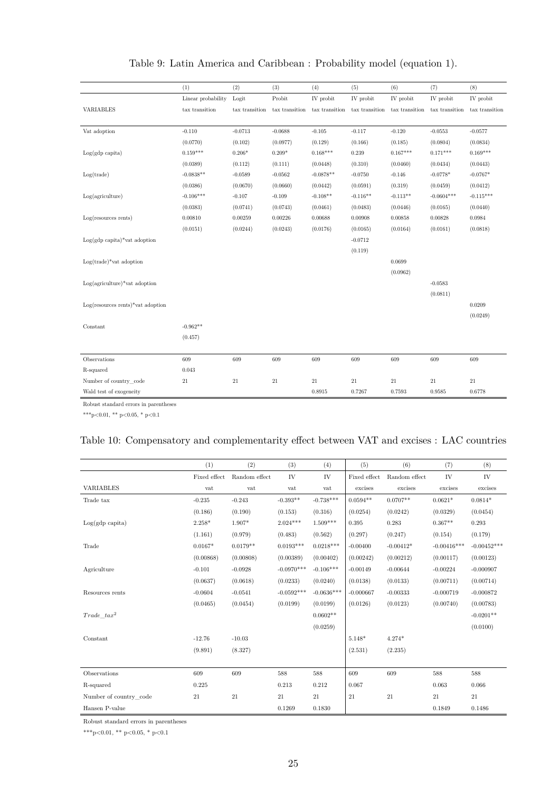<span id="page-24-0"></span>

|                                          | (1)                | (2)            | (3)                 | (4)                 | (5)                 | (6)            | (7)                 | (8)            |
|------------------------------------------|--------------------|----------------|---------------------|---------------------|---------------------|----------------|---------------------|----------------|
|                                          | Linear probability | Logit          | Probit              | IV probit           | IV probit           | IV probit      | IV probit           | IV probit      |
| <b>VARIABLES</b>                         | tax transition     | tax transition | $\tan x$ transition | $\tan x$ transition | $\tan x$ transition | tax transition | $\tan x$ transition | tax transition |
|                                          |                    |                |                     |                     |                     |                |                     |                |
| Vat adoption                             | $-0.110$           | $-0.0713$      | $-0.0688$           | $-0.105$            | $-0.117$            | $-0.120$       | $-0.0553$           | $-0.0577$      |
|                                          | (0.0770)           | (0.102)        | (0.0977)            | (0.129)             | (0.166)             | (0.185)        | (0.0804)            | (0.0834)       |
| $Log(gdp \; capita)$                     | $0.159***$         | $0.206*$       | $0.209*$            | $0.168***$          | 0.239               | $0.167***$     | $0.171***$          | $0.169***$     |
|                                          | (0.0389)           | (0.112)        | (0.111)             | (0.0448)            | (0.310)             | (0.0460)       | (0.0434)            | (0.0443)       |
| Log(trainde)                             | $-0.0838**$        | $-0.0589$      | $-0.0562$           | $-0.0878**$         | $-0.0750$           | $-0.146$       | $-0.0778*$          | $-0.0767*$     |
|                                          | (0.0386)           | (0.0670)       | (0.0660)            | (0.0442)            | (0.0591)            | (0.319)        | (0.0459)            | (0.0412)       |
| Log(agriculture)                         | $-0.106***$        | $-0.107$       | $-0.109$            | $-0.108**$          | $-0.116**$          | $-0.113**$     | $-0.0604***$        | $-0.115***$    |
|                                          | (0.0383)           | (0.0741)       | (0.0743)            | (0.0461)            | (0.0483)            | (0.0446)       | (0.0165)            | (0.0440)       |
| $Log(resources$ rents)                   | 0.00810            | 0.00259        | 0.00226             | 0.00688             | 0.00908             | 0.00858        | 0.00828             | 0.0984         |
|                                          | (0.0151)           | (0.0244)       | (0.0243)            | (0.0176)            | (0.0165)            | (0.0164)       | (0.0161)            | (0.0818)       |
| $Log(gdp \text{ capita})^*$ vat adoption |                    |                |                     |                     | $-0.0712$           |                |                     |                |
|                                          |                    |                |                     |                     | (0.119)             |                |                     |                |
| $Log(trainde)*\text{vat adoption}$       |                    |                |                     |                     |                     | 0.0699         |                     |                |
|                                          |                    |                |                     |                     |                     | (0.0962)       |                     |                |
| $Log(agriculture)*vat adoption$          |                    |                |                     |                     |                     |                | $-0.0583$           |                |
|                                          |                    |                |                     |                     |                     |                | (0.0811)            |                |
| $Log(resources$ rents)*vat adoption      |                    |                |                     |                     |                     |                |                     | 0.0209         |
|                                          |                    |                |                     |                     |                     |                |                     | (0.0249)       |
| Constant                                 | $-0.962**$         |                |                     |                     |                     |                |                     |                |
|                                          | (0.457)            |                |                     |                     |                     |                |                     |                |
|                                          |                    |                |                     |                     |                     |                |                     |                |
| Observations                             | 609                | 609            | 609                 | 609                 | 609                 | 609            | 609                 | 609            |
| R-squared                                | 0.043              |                |                     |                     |                     |                |                     |                |
| Number of country code                   | $21\,$             | $21\,$         | $21\,$              | 21                  | 21                  | $21\,$         | 21                  | $21\,$         |
| Wald test of exogeneity                  |                    |                |                     | 0.8915              | 0.7267              | 0.7593         | 0.9585              | 0.6778         |

# Table 9: Latin America and Caribbean : Probability model (equation 1).

Robust standard errors in parentheses

<span id="page-24-1"></span>\*\*\*p<0.01, \*\* p<0.05, \* p<0.1

# Table 10: Compensatory and complementarity effect between VAT and excises : LAC countries

|                        | (1)          | (2)           | (3)          | (4)          | (5)          | (6)           | (7)           | (8)           |
|------------------------|--------------|---------------|--------------|--------------|--------------|---------------|---------------|---------------|
|                        | Fixed effect | Random effect | IV           | IV           | Fixed effect | Random effect | IV            | IV            |
| <b>VARIABLES</b>       | vat          | vat           | vat          | vat          | excises      | excises       | excises       | excises       |
| Trade tax              | $-0.235$     | $-0.243$      | $-0.393**$   | $-0.738***$  | $0.0594**$   | $0.0707**$    | $0.0621*$     | $0.0814*$     |
|                        | (0.186)      | (0.190)       | (0.153)      | (0.316)      | (0.0254)     | (0.0242)      | (0.0329)      | (0.0454)      |
| $Log(gdp \; capita)$   | $2.258*$     | $1.907*$      | $2.024***$   | $1.509***$   | 0.395        | 0.283         | $0.367**$     | 0.293         |
|                        | (1.161)      | (0.979)       | (0.483)      | (0.562)      | (0.297)      | (0.247)       | (0.154)       | (0.179)       |
| Trade                  | $0.0167*$    | $0.0179**$    | $0.0193***$  | $0.0218***$  | $-0.00400$   | $-0.00412*$   | $-0.00416***$ | $-0.00452***$ |
|                        | (0.00868)    | (0.00808)     | (0.00389)    | (0.00402)    | (0.00242)    | (0.00212)     | (0.00117)     | (0.00123)     |
| Agriculture            | $-0.101$     | $-0.0928$     | $-0.0970***$ | $-0.106***$  | $-0.00149$   | $-0.00644$    | $-0.00224$    | $-0.000907$   |
|                        | (0.0637)     | (0.0618)      | (0.0233)     | (0.0240)     | (0.0138)     | (0.0133)      | (0.00711)     | (0.00714)     |
| Resources rents        | $-0.0604$    | $-0.0541$     | $-0.0592***$ | $-0.0636***$ | $-0.000667$  | $-0.00333$    | $-0.000719$   | $-0.000872$   |
|                        | (0.0465)     | (0.0454)      | (0.0199)     | (0.0199)     | (0.0126)     | (0.0123)      | (0.00740)     | (0.00783)     |
| $Trade$ $tax^2$        |              |               |              | $0.0602**$   |              |               |               | $-0.0201**$   |
|                        |              |               |              | (0.0259)     |              |               |               | (0.0100)      |
| Constant               | $-12.76$     | $-10.03$      |              |              | $5.148*$     | $4.274*$      |               |               |
|                        | (9.891)      | (8.327)       |              |              | (2.531)      | (2.235)       |               |               |
|                        |              |               |              |              |              |               |               |               |
| Observations           | 609          | 609           | 588          | 588          | 609          | 609           | 588           | 588           |
| R-squared              | 0.225        |               | 0.213        | 0.212        | 0.067        |               | 0.063         | 0.066         |
| Number of country code | 21           | 21            | 21           | 21           | 21           | 21            | 21            | 21            |
| Hansen P-value         |              |               | 0.1269       | 0.1830       |              |               | 0.1849        | 0.1486        |

Robust standard errors in parentheses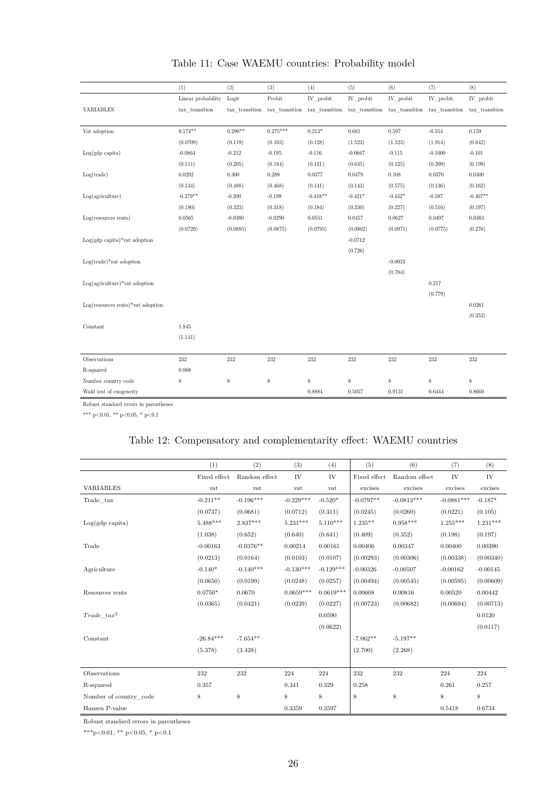<span id="page-25-0"></span>

|                                          | (1)                | (2)            | (3)            | (4)            | (5)            | (6)         | (7)                           | (8)            |
|------------------------------------------|--------------------|----------------|----------------|----------------|----------------|-------------|-------------------------------|----------------|
|                                          | Linear probability | Logit          | Probit         | IV_probit      | IV_probit      | IV_probit   | IV_probit                     | IV_probit      |
| VARIABLES                                | tax_transition     | tax_transition | tax_transition | tax_transition | tax_transition |             | tax_transition tax_transition | tax_transition |
|                                          |                    |                |                |                |                |             |                               |                |
| Vat adoption                             | $0.174**$          | $0.290**$      | $0.275***$     | $0.213*$       | $\,0.681\,$    | 0.597       | $-0.554$                      | 0.159          |
|                                          | (0.0709)           | (0.119)        | (0.103)        | (0.128)        | (1.523)        | (1.123)     | (1.914)                       | (0.842)        |
| $Log(gdp \; capita)$                     | $-0.0864$          | $-0.212$       | $-0.195$       | $-0.116$       | $-0.0667$      | $-0.115$    | $-0.1000$                     | $-0.101$       |
|                                          | (0.111)            | (0.205)        | (0.184)        | (0.121)        | (0.635)        | (0.125)     | (0.209)                       | (0.199)        |
| Log(trainde)                             | 0.0292             | $0.300\,$      | 0.289          | 0.0377         | 0.0479         | $0.108\,$   | 0.0370                        | 0.0300         |
|                                          | (0.134)            | (0.488)        | (0.468)        | (0.141)        | (0.143)        | (0.575)     | (0.136)                       | (0.162)        |
| Log(agriculture)                         | $-0.379**$         | $-0.200$       | $-0.198$       | $-0.418**$     | $-0.421*$      | $-0.432*$   | $-0.587$                      | $-0.407**$     |
|                                          | (0.180)            | (0.323)        | (0.318)        | (0.184)        | (0.230)        | (0.227)     | (0.516)                       | (0.197)        |
| $Log(resources$ rents)                   | 0.0565             | $-0.0380$      | $-0.0290$      | 0.0551         | 0.0457         | 0.0627      | 0.0497                        | 0.0383         |
|                                          | (0.0729)           | (0.0885)       | (0.0875)       | (0.0795)       | (0.0802)       | (0.0971)    | (0.0775)                      | (0.276)        |
| $Log(gdp \text{ capita})^*$ vat adoption |                    |                |                |                | $-0.0712$      |             |                               |                |
|                                          |                    |                |                |                | (0.726)        |             |                               |                |
| $Log(trainde)*\text{vat adoption}$       |                    |                |                |                |                | $-0.0933$   |                               |                |
|                                          |                    |                |                |                |                | (0.784)     |                               |                |
| $Log(agriculture)*vat adoption$          |                    |                |                |                |                |             | 0.217                         |                |
|                                          |                    |                |                |                |                |             | (0.779)                       |                |
| $Log(resources$ rents)*vat adoption      |                    |                |                |                |                |             |                               | 0.0261         |
|                                          |                    |                |                |                |                |             |                               | (0.353)        |
| Constant                                 | 1.845              |                |                |                |                |             |                               |                |
|                                          | (1.141)            |                |                |                |                |             |                               |                |
|                                          |                    |                |                |                |                |             |                               |                |
| Observations                             | 232                | 232            | 232            | 232            | 232            | 232         | 232                           | 232            |
| R-squared                                | $\,0.068\,$        |                |                |                |                |             |                               |                |
| Number country code                      | 8                  | 8              | $\,$ 8 $\,$    | $\,$ 8 $\,$    | $\,$ 8 $\,$    | $\,$ 8 $\,$ | $\,$ 8 $\,$                   | $\,$ 8 $\,$    |
| Wald test of exogeneity                  |                    |                |                | 0.8884         | 0.5057         | 0.9131      | 0.6444                        | 0.8669         |

# Table 11: Case WAEMU countries: Probability model

Robust standard errors in parentheses

<span id="page-25-1"></span>\*\*\* p<0.01, \*\* p<0.05, \* p<0.1

# Table 12: Compensatory and complementarity effect: WAEMU countries

|                           | (1)          | (2)           | (3)         | (4)         | (5)                           | (6)           | (7)          | (8)        |
|---------------------------|--------------|---------------|-------------|-------------|-------------------------------|---------------|--------------|------------|
|                           | Fixed effect | Random effect | IV          | IV          | $\operatorname{Fixed}$ effect | Random effect | IV           | IV         |
| <b>VARIABLES</b>          | vat          | vat           | vat         | vat         | excises                       | excises       | excises      | excises    |
| Trade tax                 | $-0.211**$   | $-0.196***$   | $-0.229***$ | $-0.520*$   | $-0.0797**$                   | $-0.0813***$  | $-0.0881***$ | $-0.187*$  |
|                           | (0.0737)     | (0.0681)      | (0.0712)    | (0.311)     | (0.0245)                      | (0.0260)      | (0.0221)     | (0.105)    |
| $Log(gdp \text{ capita})$ | $5.488***$   | $2.837***$    | $5.231***$  | $5.110***$  | $1.235**$                     | $0.958***$    | $1.255***$   | $1.231***$ |
|                           | (1.038)      | (0.652)       | (0.640)     | (0.641)     | (0.409)                       | (0.352)       | (0.198)      | (0.197)    |
| Trade                     | $-0.00163$   | $-0.0376**$   | 0.00214     | 0.00161     | 0.00406                       | 0.00347       | 0.00400      | 0.00390    |
|                           | (0.0213)     | (0.0164)      | (0.0103)    | (0.0107)    | (0.00293)                     | (0.00306)     | (0.00338)    | (0.00340)  |
| Agriculture               | $-0.140*$    | $-0.140***$   | $-0.130***$ | $-0.129***$ | $-0.00326$                    | $-0.00507$    | $-0.00162$   | $-0.00145$ |
|                           | (0.0650)     | (0.0199)      | (0.0248)    | (0.0257)    | (0.00494)                     | (0.00545)     | (0.00595)    | (0.00609)  |
| Resources rents           | $0.0750*$    | 0.0670        | $0.0659***$ | $0.0619***$ | 0.00608                       | 0.00816       | 0.00520      | 0.00442    |
|                           | (0.0365)     | (0.0421)      | (0.0239)    | (0.0227)    | (0.00723)                     | (0.00682)     | (0.00694)    | (0.00713)  |
| $Trade\ tax^2$            |              |               |             | 0.0590      |                               |               |              | 0.0120     |
|                           |              |               |             | (0.0622)    |                               |               |              | (0.0117)   |
| Constant                  | $-26.84***$  | $-7.654**$    |             |             | $-7.062**$                    | $-5.197**$    |              |            |
|                           | (5.378)      | (3.428)       |             |             | (2.700)                       | (2.268)       |              |            |
|                           |              |               |             |             |                               |               |              |            |
| Observations              | 232          | 232           | 224         | 224         | 232                           | 232           | 224          | 224        |
| R-squared                 | 0.357        |               | 0.341       | 0.329       | 0.258                         |               | 0.261        | 0.257      |
| Number of country code    | 8            | 8             | 8           | 8           | 8                             | 8             | 8            | 8          |
| Hansen P-value            |              |               | 0.3359      | 0.3597      |                               |               | 0.5418       | 0.6734     |

Robust standard errors in parentheses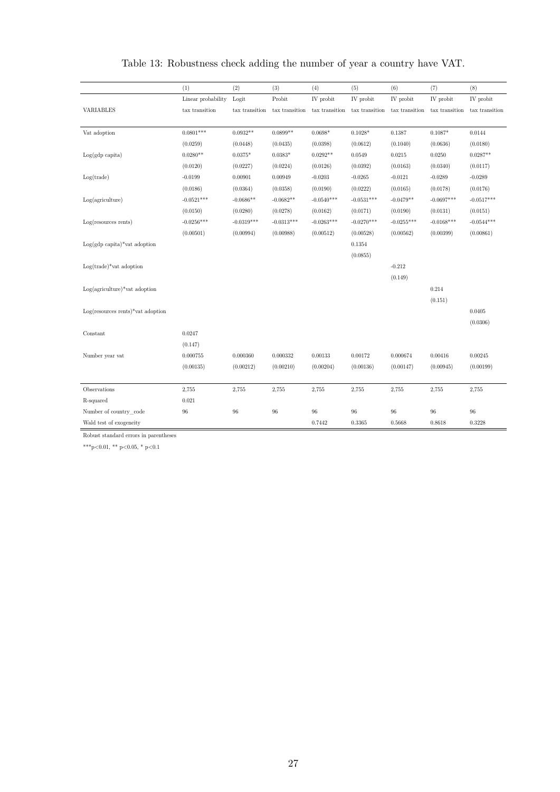<span id="page-26-0"></span>

|                                         | (1)                | (2)            | (3)            | (4)            | (5)            | (6)            | (7)            | (8)            |
|-----------------------------------------|--------------------|----------------|----------------|----------------|----------------|----------------|----------------|----------------|
|                                         | Linear probability | Logit          | Probit         | IV probit      | IV probit      | IV probit      | IV probit      | IV probit      |
| <b>VARIABLES</b>                        | tax transition     | tax transition | tax transition | tax transition | tax transition | tax transition | tax transition | tax transition |
|                                         |                    |                |                |                |                |                |                |                |
| Vat adoption                            | $0.0801***$        | $0.0932**$     | $0.0899**$     | $0.0698*$      | $0.1028*$      | 0.1387         | $0.1087*$      | 0.0144         |
|                                         | (0.0259)           | (0.0448)       | (0.0435)       | (0.0398)       | (0.0612)       | (0.1040)       | (0.0636)       | (0.0180)       |
| $Log(gdp \; capita)$                    | $0.0280**$         | $0.0375*$      | $0.0383*$      | $0.0292**$     | 0.0549         | 0.0215         | 0.0250         | $0.0287**$     |
|                                         | (0.0120)           | (0.0227)       | (0.0224)       | (0.0126)       | (0.0392)       | (0.0163)       | (0.0340)       | (0.0117)       |
| Log(trainde)                            | $-0.0199$          | 0.00901        | 0.00949        | $-0.0203$      | $-0.0265$      | $-0.0121$      | $-0.0289$      | $-0.0289$      |
|                                         | (0.0186)           | (0.0364)       | (0.0358)       | (0.0190)       | (0.0222)       | (0.0165)       | (0.0178)       | (0.0176)       |
| Log(agriculture)                        | $-0.0521***$       | $-0.0686**$    | $-0.0682**$    | $-0.0540***$   | $-0.0531***$   | $-0.0479**$    | $-0.0697***$   | $-0.0517***$   |
|                                         | (0.0150)           | (0.0280)       | (0.0278)       | (0.0162)       | (0.0171)       | (0.0190)       | (0.0131)       | (0.0151)       |
| Log(resources rents)                    | $-0.0256***$       | $-0.0319***$   | $-0.0313***$   | $-0.0263***$   | $-0.0270***$   | $-0.0255***$   | $-0.0168***$   | $-0.0544***$   |
|                                         | (0.00501)          | (0.00994)      | (0.00988)      | (0.00512)      | (0.00528)      | (0.00562)      | (0.00399)      | (0.00861)      |
| $Log(gdp \text{ capita})*$ vat adoption |                    |                |                |                | 0.1354         |                |                |                |
|                                         |                    |                |                |                | (0.0855)       |                |                |                |
| $Log(trainde)*\text{vat adoption}$      |                    |                |                |                |                | $-0.212$       |                |                |
|                                         |                    |                |                |                |                | (0.149)        |                |                |
| $Log(agriculture)*vat adoption$         |                    |                |                |                |                |                | 0.214          |                |
|                                         |                    |                |                |                |                |                | (0.151)        |                |
| $Log(resources$ rents)*vat adoption     |                    |                |                |                |                |                |                | 0.0405         |
|                                         |                    |                |                |                |                |                |                | (0.0306)       |
| Constant                                | 0.0247             |                |                |                |                |                |                |                |
|                                         | (0.147)            |                |                |                |                |                |                |                |
| Number year vat                         | 0.000755           | 0.000360       | 0.000332       | 0.00133        | 0.00172        | 0.000674       | 0.00416        | 0.00245        |
|                                         | (0.00135)          | (0.00212)      | (0.00210)      | (0.00204)      | (0.00136)      | (0.00147)      | (0.00945)      | (0.00199)      |
|                                         |                    |                |                |                |                |                |                |                |
| Observations                            | 2,755              | 2,755          | 2,755          | 2,755          | 2,755          | 2,755          | 2,755          | 2,755          |
| R-squared                               | 0.021              |                |                |                |                |                |                |                |
| Number of country_code                  | $96\,$             | 96             | $96\,$         | 96             | 96             | 96             | 96             | 96             |
| Wald test of exogeneity                 |                    |                |                | 0.7442         | 0.3365         | 0.5668         | 0.8618         | 0.3228         |

# Table 13: Robustness check adding the number of year a country have VAT.

Robust standard errors in parentheses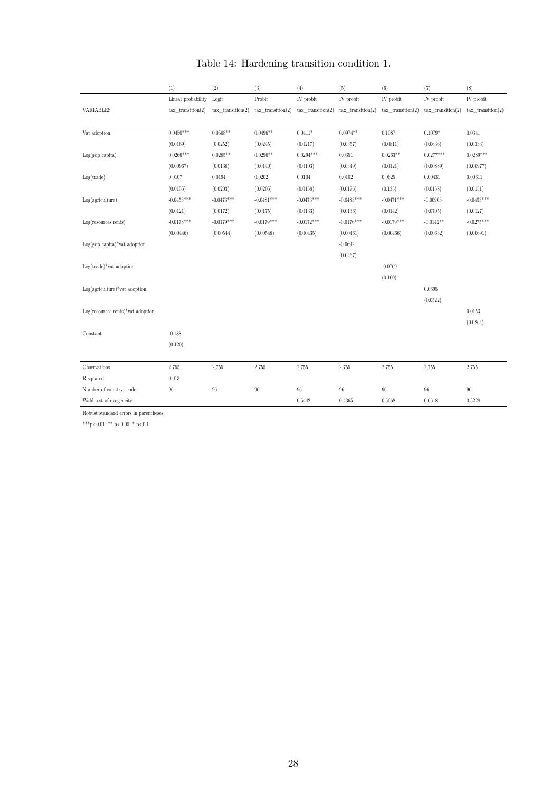<span id="page-27-0"></span>

|                                        | (1)                 | (2)                    | (3)                 | (4)                 | (5)                 | (6)                 | (7)                 | (8)                 |
|----------------------------------------|---------------------|------------------------|---------------------|---------------------|---------------------|---------------------|---------------------|---------------------|
|                                        | Linear probability  | Logit                  | Probit              | IV probit           | IV probit           | IV probit           | IV probit           | IV probit           |
| VARIABLES                              | $tax_transition(2)$ | $tax$ transition $(2)$ | $tax_transition(2)$ | $tax_transition(2)$ | $tax$ transition(2) | $tax$ transition(2) | $tax$ transition(2) | $tax$ transition(2) |
|                                        |                     |                        |                     |                     |                     |                     |                     |                     |
| Vat adoption                           | $0.0450***$         | $0.0508**$             | $0.0496**$          | $0.0411*$           | $0.0974**$          | 0.1087              | $0.1079*$           | $\,0.0341\,$        |
|                                        | (0.0169)            | (0.0252)               | (0.0245)            | (0.0217)            | (0.0357)            | (0.0811)            | (0.0636)            | (0.0333)            |
| $Log(gdp \; capita)$                   | $0.0266***$         | $0.0285**$             | $0.0296**$          | $0.0294***$         | 0.0351              | $0.0263**$          | $0.0277***$         | $0.0289***$         |
|                                        | (0.00967)           | (0.0138)               | (0.0140)            | (0.0103)            | (0.0349)            | (0.0121)            | (0.00889)           | (0.00977)           |
| Log(trainde)                           | 0.0107              | 0.0194                 | 0.0202              | 0.0104              | 0.0102              | 0.0625              | 0.00431             | 0.00611             |
|                                        | (0.0155)            | (0.0203)               | (0.0205)            | (0.0158)            | (0.0176)            | (0.135)             | (0.0158)            | (0.0151)            |
| Log(agriculture)                       | $-0.0453***$        | $-0.0473***$           | $-0.0481***$        | $-0.0473***$        | $-0.0483***$        | $-0.0471***$        | $-0.00903$          | $-0.0453***$        |
|                                        | (0.0121)            | (0.0172)               | (0.0175)            | (0.0133)            | (0.0136)            | (0.0142)            | (0.0705)            | (0.0127)            |
| $Log(resources$ rents)                 | $-0.0178***$        | $-0.0179***$           | $-0.0179***$        | $-0.0172***$        | $-0.0176***$        | $-0.0179***$        | $-0.0142**$         | $-0.0275***$        |
|                                        | (0.00446)           | (0.00544)              | (0.00548)           | (0.00435)           | (0.00461)           | (0.00466)           | (0.00632)           | (0.00691)           |
| $Log(gdp \text{ capita})$ vat adoption |                     |                        |                     |                     | $-0.0692$           |                     |                     |                     |
|                                        |                     |                        |                     |                     | (0.0467)            |                     |                     |                     |
| $Log(train$ e)*vat adoption            |                     |                        |                     |                     |                     | $-0.0769$           |                     |                     |
|                                        |                     |                        |                     |                     |                     | (0.100)             |                     |                     |
| $Log(agriculture)*vat adoption$        |                     |                        |                     |                     |                     |                     | 0.0695              |                     |
|                                        |                     |                        |                     |                     |                     |                     | (0.0522)            |                     |
| $Log(resources$ rents)*vat adoption    |                     |                        |                     |                     |                     |                     |                     | $0.0153\,$          |
|                                        |                     |                        |                     |                     |                     |                     |                     | (0.0264)            |
| Constant                               | $-0.188$            |                        |                     |                     |                     |                     |                     |                     |
|                                        | (0.120)             |                        |                     |                     |                     |                     |                     |                     |
|                                        |                     |                        |                     |                     |                     |                     |                     |                     |
| Observations                           | 2,755               | 2,755                  | 2,755               | 2,755               | 2,755               | 2,755               | 2,755               | 2,755               |
| R-squared                              | 0.013               |                        |                     |                     |                     |                     |                     |                     |
| Number of country_code                 | $96\,$              | 96                     | $96\,$              | $96\,$              | $96\,$              | 96                  | $96\,$              | $96\,$              |
| Wald test of exogeneity                |                     |                        |                     | 0.5442              | 0.4365              | 0.5668              | 0.6618              | 0.5228              |

# Table 14: Hardening transition condition 1.

Robust standard errors in parentheses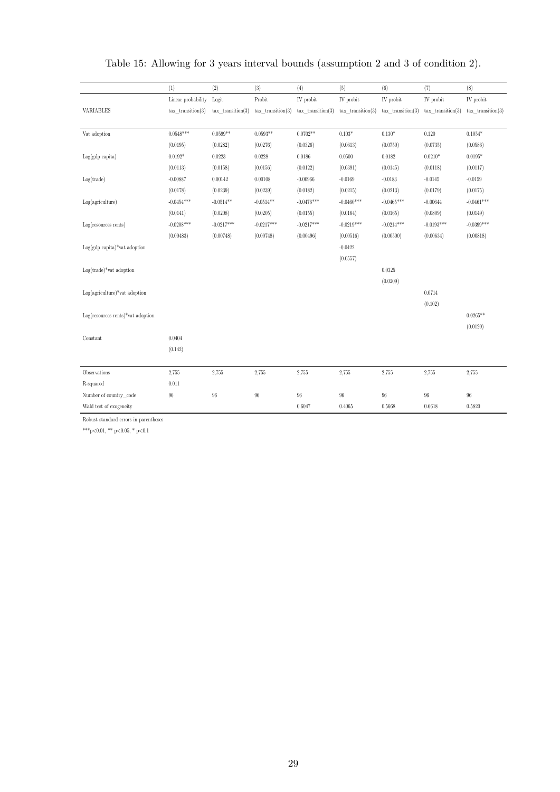|                                          | (1)                 | (2)                 | (3)                 | (4)                 | (5)                 | (6)                 | (7)                 | (8)                 |
|------------------------------------------|---------------------|---------------------|---------------------|---------------------|---------------------|---------------------|---------------------|---------------------|
|                                          | Linear probability  | Logit               | Probit              | IV probit           | IV probit           | IV probit           | IV probit           | IV probit           |
| VARIABLES                                | $tax$ transition(3) | $tax$ transition(3) | $tax_transition(3)$ | $tax_transition(3)$ | $tax$ transition(3) | $tax_transition(3)$ | $tax$ transition(3) | $tax$ transition(3) |
|                                          |                     |                     |                     |                     |                     |                     |                     |                     |
| Vat adoption                             | $0.0548***$         | $0.0599**$          | $0.0593**$          | $0.0702**$          | $0.103*$            | $0.130^{\ast}$      | 0.120               | $0.1054^{\ast}$     |
|                                          | (0.0195)            | (0.0282)            | (0.0276)            | (0.0326)            | (0.0613)            | (0.0750)            | (0.0735)            | (0.0586)            |
| $Log(gdp \text{ capita})$                | $0.0192*$           | 0.0223              | 0.0228              | 0.0186              | 0.0500              | 0.0182              | $0.0210*$           | $0.0195*$           |
|                                          | (0.0113)            | (0.0158)            | (0.0156)            | (0.0122)            | (0.0391)            | (0.0145)            | (0.0118)            | (0.0117)            |
| Log(trainde)                             | $-0.00887$          | 0.00142             | 0.00108             | $-0.00966$          | $-0.0169$           | $-0.0183$           | $-0.0145$           | $-0.0159$           |
|                                          | (0.0178)            | (0.0239)            | (0.0239)            | (0.0182)            | (0.0215)            | (0.0213)            | (0.0179)            | (0.0175)            |
| Log(agriculture)                         | $-0.0454***$        | $-0.0514**$         | $-0.0514**$         | $-0.0476***$        | $-0.0460***$        | $-0.0465***$        | $-0.00644$          | $-0.0461***$        |
|                                          | (0.0141)            | (0.0208)            | (0.0205)            | (0.0155)            | (0.0164)            | (0.0165)            | (0.0809)            | (0.0149)            |
| $Log(resources$ rents)                   | $-0.0208***$        | $-0.0217***$        | $-0.0217***$        | $-0.0217***$        | $-0.0219***$        | $-0.0214***$        | $-0.0193***$        | $-0.0399***$        |
|                                          | (0.00483)           | (0.00748)           | (0.00748)           | (0.00496)           | (0.00516)           | (0.00500)           | (0.00634)           | (0.00818)           |
| $Log(gdp \text{ capita})^*$ vat adoption |                     |                     |                     |                     | $-0.0422$           |                     |                     |                     |
|                                          |                     |                     |                     |                     | (0.0557)            |                     |                     |                     |
| $Log(train$ e)*vat adoption              |                     |                     |                     |                     |                     | 0.0325              |                     |                     |
|                                          |                     |                     |                     |                     |                     | (0.0209)            |                     |                     |
| $Log(agriculture)*vat adoption$          |                     |                     |                     |                     |                     |                     | 0.0714              |                     |
|                                          |                     |                     |                     |                     |                     |                     | (0.102)             |                     |
| $Log(resources$ rents)*vat adoption      |                     |                     |                     |                     |                     |                     |                     | $0.0265**$          |
|                                          |                     |                     |                     |                     |                     |                     |                     | (0.0120)            |
| Constant                                 | 0.0404              |                     |                     |                     |                     |                     |                     |                     |
|                                          | (0.142)             |                     |                     |                     |                     |                     |                     |                     |
|                                          |                     |                     |                     |                     |                     |                     |                     |                     |
| Observations                             | 2,755               | 2,755               | 2,755               | 2,755               | 2,755               | 2,755               | 2,755               | 2,755               |
| R-squared                                | 0.011               |                     |                     |                     |                     |                     |                     |                     |
| Number of country code                   | $96\,$              | $96\,$              | $96\,$              | 96                  | $96\,$              | $96\,$              | $96\,$              | $96\,$              |
| Wald test of exogeneity                  |                     |                     |                     | 0.6047              | 0.4065              | 0.5668              | 0.6618              | 0.5820              |

# <span id="page-28-0"></span>Table 15: Allowing for 3 years interval bounds (assumption 2 and 3 of condition 2).

Robust standard errors in parentheses

 $^{***}\rm{p<}0.01,$   $^{**}\rm{p<}0.05,$   $^{*}$   $\rm{p<}0.1$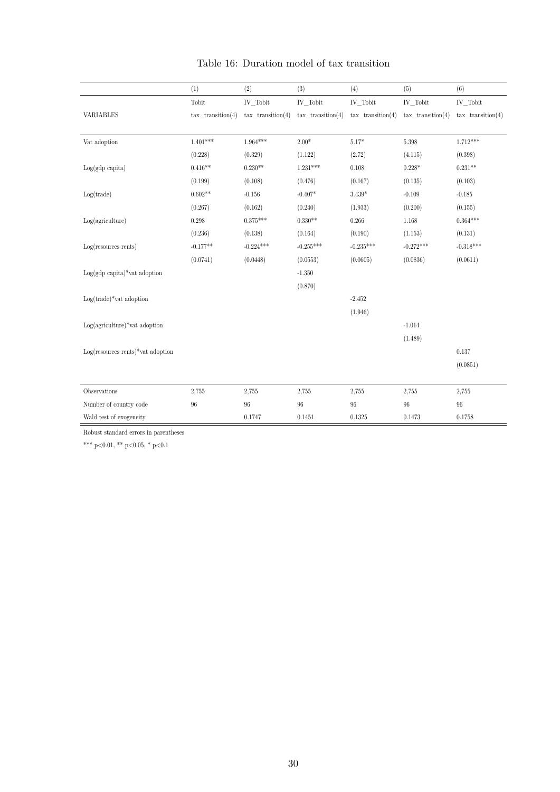<span id="page-29-0"></span>

|                                         | (1)                 | (2)                 | (3)                 | (4)                 | (5)                 | (6)                 |
|-----------------------------------------|---------------------|---------------------|---------------------|---------------------|---------------------|---------------------|
|                                         | Tobit               | $IV\_Tobit$         | IV_Tobit            | IV_Tobit            | IV_Tobit            | IV_Tobit            |
| <b>VARIABLES</b>                        | $tax$ transition(4) | $tax$ transition(4) | $tax$ transition(4) | $tax$ transition(4) | $tax$ transition(4) | $tax$ transition(4) |
|                                         |                     |                     |                     |                     |                     |                     |
| $\operatorname{Vat}$ adoption           | $1.401***$          | $1.964^{***}\,$     | $2.00*$             | $5.17*$             | $5.398\,$           | $1.712***$          |
|                                         | (0.228)             | (0.329)             | (1.122)             | (2.72)              | (4.115)             | (0.398)             |
| $Log(gdp \text{ capita})$               | $0.416**$           | $0.230**$           | $1.231***$          | 0.108               | $0.228*$            | $0.231**$           |
|                                         | (0.199)             | (0.108)             | (0.476)             | (0.167)             | (0.135)             | (0.103)             |
| Log(trainde)                            | $0.602**$           | $-0.156$            | $-0.407*$           | $3.439*$            | $-0.109$            | $-0.185$            |
|                                         | (0.267)             | (0.162)             | (0.240)             | (1.933)             | (0.200)             | (0.155)             |
| Log(agriculture)                        | 0.298               | $0.375***$          | $0.330**$           | 0.266               | 1.168               | $0.364***$          |
|                                         | (0.236)             | (0.138)             | (0.164)             | (0.190)             | (1.153)             | (0.131)             |
| $Log(resources$ rents)                  | $-0.177**$          | $-0.224***$         | $-0.255***$         | $-0.235***$         | $-0.272***$         | $-0.318***$         |
|                                         | (0.0741)            | (0.0448)            | (0.0553)            | (0.0605)            | (0.0836)            | (0.0611)            |
| $Log(gdp \text{ capita})*$ vat adoption |                     |                     | $-1.350$            |                     |                     |                     |
|                                         |                     |                     | (0.870)             |                     |                     |                     |
| $Log(train$ e $)*$ vat adoption         |                     |                     |                     | $-2.452$            |                     |                     |
|                                         |                     |                     |                     | (1.946)             |                     |                     |
| $Log(agriculture)*vat adoption$         |                     |                     |                     |                     | $-1.014$            |                     |
|                                         |                     |                     |                     |                     | (1.489)             |                     |
| $Log(resources$ rents)*vat adoption     |                     |                     |                     |                     |                     | 0.137               |
|                                         |                     |                     |                     |                     |                     | (0.0851)            |
|                                         |                     |                     |                     |                     |                     |                     |
| Observations                            | 2,755               | 2,755               | 2,755               | 2,755               | 2,755               | 2,755               |
| Number of country code                  | 96                  | 96                  | 96                  | 96                  | $96\,$              | $96\,$              |
| Wald test of exogeneity                 |                     | 0.1747              | 0.1451              | 0.1325              | 0.1473              | 0.1758              |

# Table 16: Duration model of tax transition

Robust standard errors in parentheses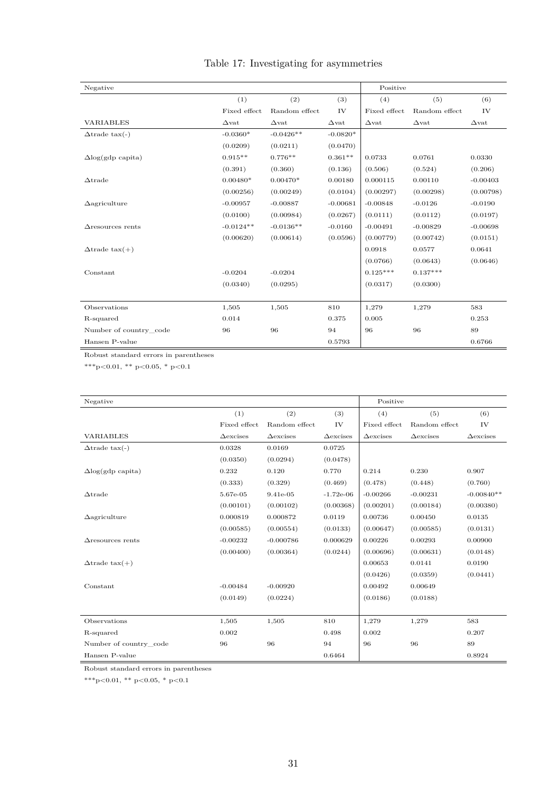|  | Table 17: Investigating for asymmetries |  |  |
|--|-----------------------------------------|--|--|
|  |                                         |  |  |

<span id="page-30-0"></span>

| Negative                    |                       |                     |                     | Positive            |                     |                     |
|-----------------------------|-----------------------|---------------------|---------------------|---------------------|---------------------|---------------------|
|                             | (1)                   | (2)                 | (3)                 | (4)                 | (5)                 | (6)                 |
|                             | Fixed effect          | Random effect       | IV                  | Fixed effect        | Random effect       | IV                  |
| <b>VARIABLES</b>            | $\Delta \mathrm{vat}$ | $\Delta \text{vat}$ | $\Delta \text{vat}$ | $\Delta \text{vat}$ | $\Delta \text{vat}$ | $\Delta \text{vat}$ |
| $\Delta$ trade tax $(-)$    | $-0.0360*$            | $-0.0426**$         | $-0.0820*$          |                     |                     |                     |
|                             | (0.0209)              | (0.0211)            | (0.0470)            |                     |                     |                     |
| $\Delta$ log(gdp capita)    | $0.915**$             | $0.776**$           | $0.361**$           | 0.0733              | 0.0761              | 0.0330              |
|                             | (0.391)               | (0.360)             | (0.136)             | (0.506)             | (0.524)             | (0.206)             |
| $\triangle$ trade           | $0.00480*$            | $0.00470*$          | 0.00180             | 0.000115            | 0.00110             | $-0.00403$          |
|                             | (0.00256)             | (0.00249)           | (0.0104)            | (0.00297)           | (0.00298)           | (0.00798)           |
| $\Delta$ agriculture        | $-0.00957$            | $-0.00887$          | $-0.00681$          | $-0.00848$          | $-0.0126$           | $-0.0190$           |
|                             | (0.0100)              | (0.00984)           | (0.0267)            | (0.0111)            | (0.0112)            | (0.0197)            |
| $\triangle$ resources rents | $-0.0124**$           | $-0.0136**$         | $-0.0160$           | $-0.00491$          | $-0.00829$          | $-0.00698$          |
|                             | (0.00620)             | (0.00614)           | (0.0596)            | (0.00779)           | (0.00742)           | (0.0151)            |
| $\Delta$ trade tax $(+)$    |                       |                     |                     | 0.0918              | 0.0577              | 0.0641              |
|                             |                       |                     |                     | (0.0766)            | (0.0643)            | (0.0646)            |
| Constant                    | $-0.0204$             | $-0.0204$           |                     | $0.125***$          | $0.137***$          |                     |
|                             | (0.0340)              | (0.0295)            |                     | (0.0317)            | (0.0300)            |                     |
|                             |                       |                     |                     |                     |                     |                     |
| Observations                | 1,505                 | 1,505               | 810                 | 1,279               | 1,279               | 583                 |
| R-squared                   | 0.014                 |                     | 0.375               | 0.005               |                     | 0.253               |
| Number of country code      | 96                    | 96                  | 94                  | 96                  | 96                  | 89                  |
| Hansen P-value              |                       |                     | 0.5793              |                     |                     | 0.6766              |

Robust standard errors in parentheses

 $^{***}\rm{p<}0.01,$   $^{**}\rm{p<}0.05,$   $^{*}$  p<0.1

| Negative                    |                     |                     |                     | Positive            |                     |                     |
|-----------------------------|---------------------|---------------------|---------------------|---------------------|---------------------|---------------------|
|                             | (1)                 | (2)                 | (3)                 | (4)                 | (5)                 | (6)                 |
|                             | Fixed effect        | Random effect       | IV                  | Fixed effect        | Random effect       | IV                  |
| <b>VARIABLES</b>            | $\triangle$ excises | $\triangle$ excises | $\triangle$ excises | $\triangle$ excises | $\triangle$ excises | $\triangle$ excises |
| $\Delta$ trade tax $(-)$    | 0.0328              | 0.0169              | 0.0725              |                     |                     |                     |
|                             | (0.0350)            | (0.0294)            | (0.0478)            |                     |                     |                     |
| $\Delta$ log(gdp capita)    | 0.232               | 0.120               | 0.770               | 0.214               | 0.230               | 0.907               |
|                             | (0.333)             | (0.329)             | (0.469)             | (0.478)             | (0.448)             | (0.760)             |
| $\Delta$ trade              | 5.67e-05            | 9.41e-05            | $-1.72e-06$         | $-0.00266$          | $-0.00231$          | $-0.00840**$        |
|                             | (0.00101)           | (0.00102)           | (0.00368)           | (0.00201)           | (0.00184)           | (0.00380)           |
| $\Delta$ agriculture        | 0.000819            | 0.000872            | 0.0119              | 0.00736             | 0.00450             | 0.0135              |
|                             | (0.00585)           | (0.00554)           | (0.0133)            | (0.00647)           | (0.00585)           | (0.0131)            |
| $\triangle$ resources rents | $-0.00232$          | $-0.000786$         | 0.000629            | 0.00226             | 0.00293             | 0.00900             |
|                             | (0.00400)           | (0.00364)           | (0.0244)            | (0.00696)           | (0.00631)           | (0.0148)            |
| $\Delta$ trade tax $(+)$    |                     |                     |                     | 0.00653             | 0.0141              | 0.0190              |
|                             |                     |                     |                     | (0.0426)            | (0.0359)            | (0.0441)            |
| Constant                    | $-0.00484$          | $-0.00920$          |                     | 0.00492             | 0.00649             |                     |
|                             | (0.0149)            | (0.0224)            |                     | (0.0186)            | (0.0188)            |                     |
|                             |                     |                     |                     |                     |                     |                     |
| Observations                | 1,505               | 1,505               | 810                 | 1,279               | 1,279               | 583                 |
| R-squared                   | 0.002               |                     | 0.498               | 0.002               |                     | 0.207               |
| Number of country code      | 96                  | 96                  | 94                  | 96                  | 96                  | 89                  |
| Hansen P-value              |                     |                     | 0.6464              |                     |                     | 0.8924              |

Robust standard errors in parentheses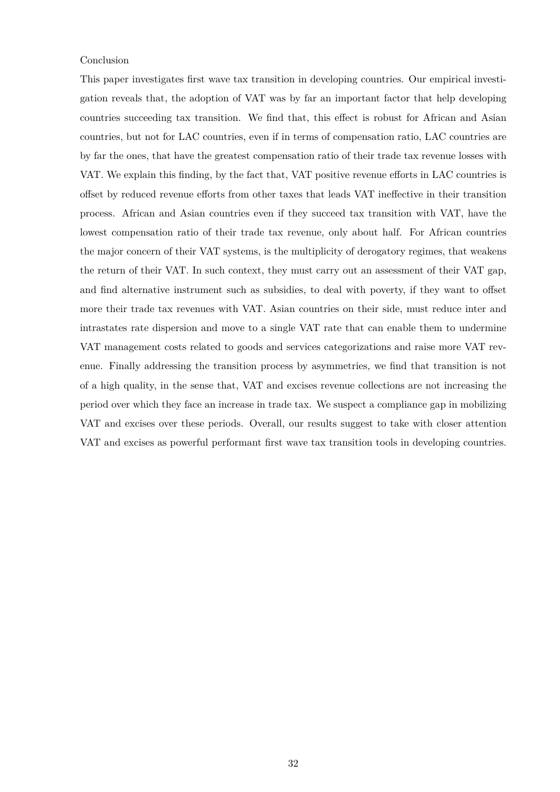#### Conclusion

This paper investigates first wave tax transition in developing countries. Our empirical investigation reveals that, the adoption of VAT was by far an important factor that help developing countries succeeding tax transition. We find that, this effect is robust for African and Asian countries, but not for LAC countries, even if in terms of compensation ratio, LAC countries are by far the ones, that have the greatest compensation ratio of their trade tax revenue losses with VAT. We explain this finding, by the fact that, VAT positive revenue efforts in LAC countries is offset by reduced revenue efforts from other taxes that leads VAT ineffective in their transition process. African and Asian countries even if they succeed tax transition with VAT, have the lowest compensation ratio of their trade tax revenue, only about half. For African countries the major concern of their VAT systems, is the multiplicity of derogatory regimes, that weakens the return of their VAT. In such context, they must carry out an assessment of their VAT gap, and find alternative instrument such as subsidies, to deal with poverty, if they want to offset more their trade tax revenues with VAT. Asian countries on their side, must reduce inter and intrastates rate dispersion and move to a single VAT rate that can enable them to undermine VAT management costs related to goods and services categorizations and raise more VAT revenue. Finally addressing the transition process by asymmetries, we find that transition is not of a high quality, in the sense that, VAT and excises revenue collections are not increasing the period over which they face an increase in trade tax. We suspect a compliance gap in mobilizing VAT and excises over these periods. Overall, our results suggest to take with closer attention VAT and excises as powerful performant first wave tax transition tools in developing countries.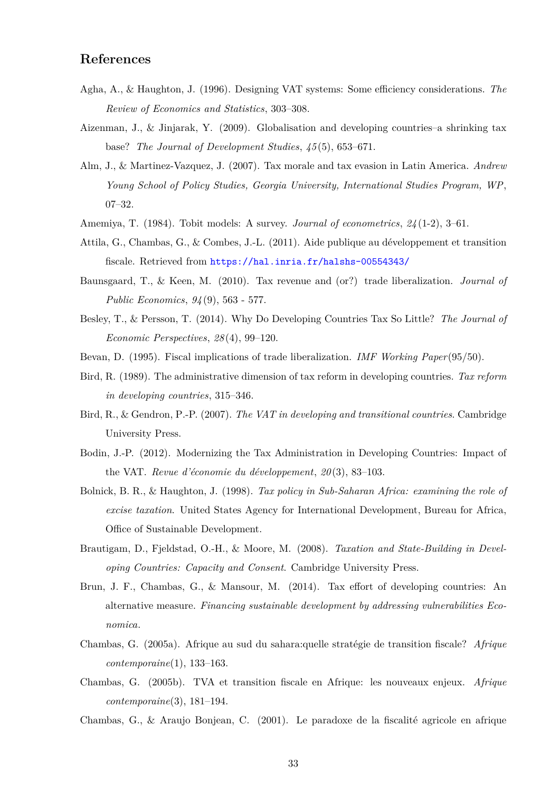# **References**

- <span id="page-32-10"></span>Agha, A., & Haughton, J. (1996). Designing VAT systems: Some efficiency considerations. *The Review of Economics and Statistics*, 303–308.
- <span id="page-32-12"></span>Aizenman, J., & Jinjarak, Y. (2009). Globalisation and developing countries–a shrinking tax base? *The Journal of Development Studies*, *45* (5), 653–671.
- <span id="page-32-14"></span>Alm, J., & Martinez-Vazquez, J. (2007). Tax morale and tax evasion in Latin America. *Andrew Young School of Policy Studies, Georgia University, International Studies Program, WP*, 07–32.
- <span id="page-32-16"></span><span id="page-32-9"></span>Amemiya, T. (1984). Tobit models: A survey. *Journal of econometrics*, *24* (1-2), 3–61.
- Attila, G., Chambas, G., & Combes, J.-L. (2011). Aide publique au développement et transition fiscale. Retrieved from <https://hal.inria.fr/halshs-00554343/>
- <span id="page-32-11"></span>Baunsgaard, T., & Keen, M. (2010). Tax revenue and (or?) trade liberalization. *Journal of Public Economics*, *94* (9), 563 - 577.
- <span id="page-32-0"></span>Besley, T., & Persson, T. (2014). Why Do Developing Countries Tax So Little? *The Journal of Economic Perspectives*, *28* (4), 99–120.
- <span id="page-32-6"></span><span id="page-32-2"></span>Bevan, D. (1995). Fiscal implications of trade liberalization. *IMF Working Paper*(95/50).
- Bird, R. (1989). The administrative dimension of tax reform in developing countries. *Tax reform in developing countries*, 315–346.
- <span id="page-32-5"></span>Bird, R., & Gendron, P.-P. (2007). *The VAT in developing and transitional countries*. Cambridge University Press.
- <span id="page-32-8"></span>Bodin, J.-P. (2012). Modernizing the Tax Administration in Developing Countries: Impact of the VAT. *Revue d'économie du développement*, *20* (3), 83–103.
- <span id="page-32-7"></span>Bolnick, B. R., & Haughton, J. (1998). *Tax policy in Sub-Saharan Africa: examining the role of excise taxation*. United States Agency for International Development, Bureau for Africa, Office of Sustainable Development.
- <span id="page-32-1"></span>Brautigam, D., Fjeldstad, O.-H., & Moore, M. (2008). *Taxation and State-Building in Developing Countries: Capacity and Consent*. Cambridge University Press.
- <span id="page-32-15"></span>Brun, J. F., Chambas, G., & Mansour, M. (2014). Tax effort of developing countries: An alternative measure. *Financing sustainable development by addressing vulnerabilities Economica*.
- <span id="page-32-3"></span>Chambas, G. (2005a). Afrique au sud du sahara:quelle stratégie de transition fiscale? *Afrique contemporaine*(1), 133–163.
- <span id="page-32-4"></span>Chambas, G. (2005b). TVA et transition fiscale en Afrique: les nouveaux enjeux. *Afrique contemporaine*(3), 181–194.
- <span id="page-32-13"></span>Chambas, G., & Araujo Bonjean, C. (2001). Le paradoxe de la fiscalité agricole en afrique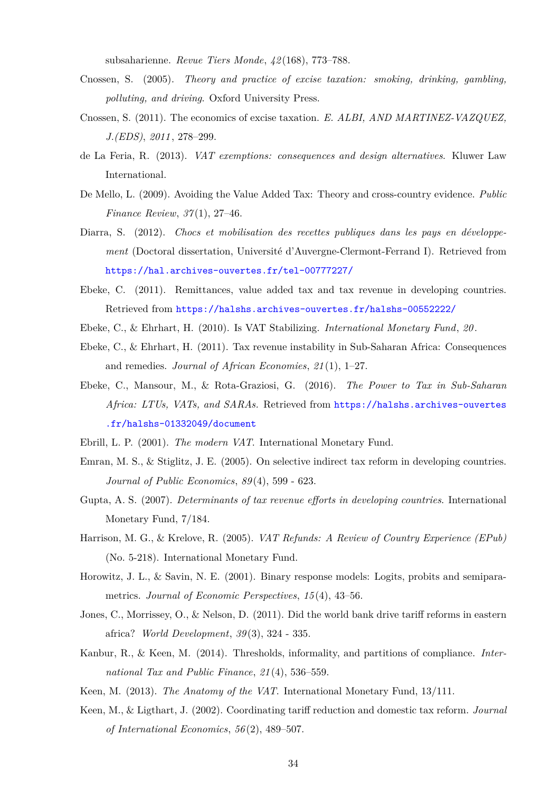subsaharienne. *Revue Tiers Monde*, *42* (168), 773–788.

- <span id="page-33-14"></span>Cnossen, S. (2005). *Theory and practice of excise taxation: smoking, drinking, gambling, polluting, and driving*. Oxford University Press.
- <span id="page-33-2"></span>Cnossen, S. (2011). The economics of excise taxation. *E. ALBI, AND MARTINEZ-VAZQUEZ, J.(EDS)*, *2011* , 278–299.
- <span id="page-33-9"></span>de La Feria, R. (2013). *VAT exemptions: consequences and design alternatives*. Kluwer Law International.
- <span id="page-33-12"></span>De Mello, L. (2009). Avoiding the Value Added Tax: Theory and cross-country evidence. *Public Finance Review*, *37* (1), 27–46.
- <span id="page-33-6"></span>Diarra, S. (2012). *Chocs et mobilisation des recettes publiques dans les pays en développement* (Doctoral dissertation, Université d'Auvergne-Clermont-Ferrand I). Retrieved from <https://hal.archives-ouvertes.fr/tel-00777227/>
- <span id="page-33-17"></span>Ebeke, C. (2011). Remittances, value added tax and tax revenue in developing countries. Retrieved from <https://halshs.archives-ouvertes.fr/halshs-00552222/>
- <span id="page-33-5"></span><span id="page-33-4"></span>Ebeke, C., & Ehrhart, H. (2010). Is VAT Stabilizing. *International Monetary Fund*, *20* .
- Ebeke, C., & Ehrhart, H. (2011). Tax revenue instability in Sub-Saharan Africa: Consequences and remedies. *Journal of African Economies*, *21* (1), 1–27.
- <span id="page-33-13"></span>Ebeke, C., Mansour, M., & Rota-Graziosi, G. (2016). *The Power to Tax in Sub-Saharan Africa: LTUs, VATs, and SARAs.* Retrieved from [https://halshs.archives-ouvertes](https://halshs.archives-ouvertes.fr/halshs-01332049/document) [.fr/halshs-01332049/document](https://halshs.archives-ouvertes.fr/halshs-01332049/document)
- <span id="page-33-10"></span><span id="page-33-3"></span>Ebrill, L. P. (2001). *The modern VAT*. International Monetary Fund.
- Emran, M. S., & Stiglitz, J. E. (2005). On selective indirect tax reform in developing countries. *Journal of Public Economics*, *89* (4), 599 - 623.
- <span id="page-33-15"></span>Gupta, A. S. (2007). *Determinants of tax revenue efforts in developing countries*. International Monetary Fund, 7/184.
- <span id="page-33-8"></span>Harrison, M. G., & Krelove, R. (2005). *VAT Refunds: A Review of Country Experience (EPub)* (No. 5-218). International Monetary Fund.
- <span id="page-33-16"></span>Horowitz, J. L., & Savin, N. E. (2001). Binary response models: Logits, probits and semiparametrics. *Journal of Economic Perspectives*, *15* (4), 43–56.
- <span id="page-33-1"></span>Jones, C., Morrissey, O., & Nelson, D. (2011). Did the world bank drive tariff reforms in eastern africa? *World Development*, *39* (3), 324 - 335.
- <span id="page-33-7"></span>Kanbur, R., & Keen, M. (2014). Thresholds, informality, and partitions of compliance. *International Tax and Public Finance*, *21* (4), 536–559.
- <span id="page-33-11"></span><span id="page-33-0"></span>Keen, M. (2013). *The Anatomy of the VAT*. International Monetary Fund, 13/111.
- Keen, M., & Ligthart, J. (2002). Coordinating tariff reduction and domestic tax reform. *Journal of International Economics*, *56* (2), 489–507.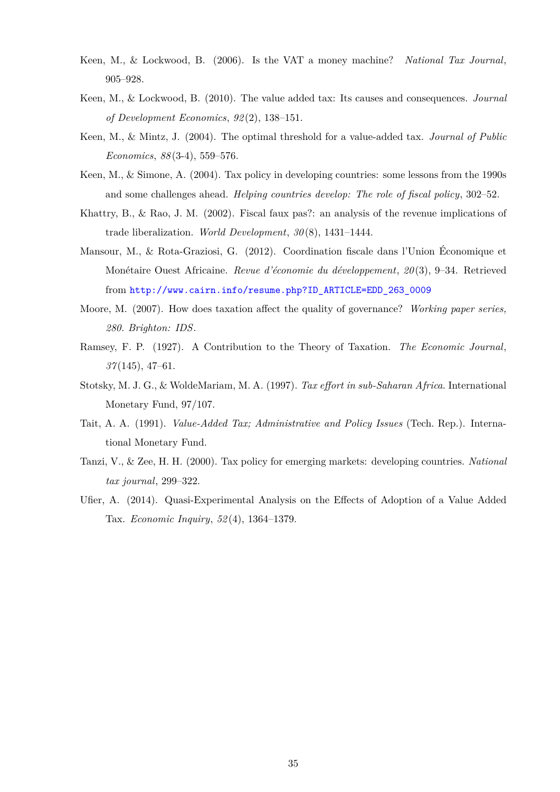- <span id="page-34-6"></span>Keen, M., & Lockwood, B. (2006). Is the VAT a money machine? *National Tax Journal*, 905–928.
- <span id="page-34-7"></span>Keen, M., & Lockwood, B. (2010). The value added tax: Its causes and consequences. *Journal of Development Economics*, *92* (2), 138–151.
- <span id="page-34-4"></span>Keen, M., & Mintz, J. (2004). The optimal threshold for a value-added tax. *Journal of Public Economics*, *88* (3-4), 559–576.
- <span id="page-34-2"></span>Keen, M., & Simone, A. (2004). Tax policy in developing countries: some lessons from the 1990s and some challenges ahead. *Helping countries develop: The role of fiscal policy*, 302–52.
- <span id="page-34-1"></span>Khattry, B., & Rao, J. M. (2002). Fiscal faux pas?: an analysis of the revenue implications of trade liberalization. *World Development*, *30* (8), 1431–1444.
- <span id="page-34-11"></span>Mansour, M., & Rota-Graziosi, G. (2012). Coordination fiscale dans l'Union Économique et Monétaire Ouest Africaine. *Revue d'économie du développement*, *20* (3), 9–34. Retrieved from [http://www.cairn.info/resume.php?ID\\_ARTICLE=EDD\\_263\\_0009](http://www.cairn.info/resume.php?ID_ARTICLE=EDD_263_0009)
- <span id="page-34-9"></span>Moore, M. (2007). How does taxation affect the quality of governance? *Working paper series, 280. Brighton: IDS*.
- <span id="page-34-8"></span>Ramsey, F. P. (1927). A Contribution to the Theory of Taxation. *The Economic Journal*, *37* (145), 47–61.
- <span id="page-34-10"></span>Stotsky, M. J. G., & WoldeMariam, M. A. (1997). *Tax effort in sub-Saharan Africa*. International Monetary Fund, 97/107.
- <span id="page-34-5"></span>Tait, A. A. (1991). *Value-Added Tax; Administrative and Policy Issues* (Tech. Rep.). International Monetary Fund.
- <span id="page-34-0"></span>Tanzi, V., & Zee, H. H. (2000). Tax policy for emerging markets: developing countries. *National tax journal*, 299–322.
- <span id="page-34-3"></span>Ufier, A. (2014). Quasi-Experimental Analysis on the Effects of Adoption of a Value Added Tax. *Economic Inquiry*, *52* (4), 1364–1379.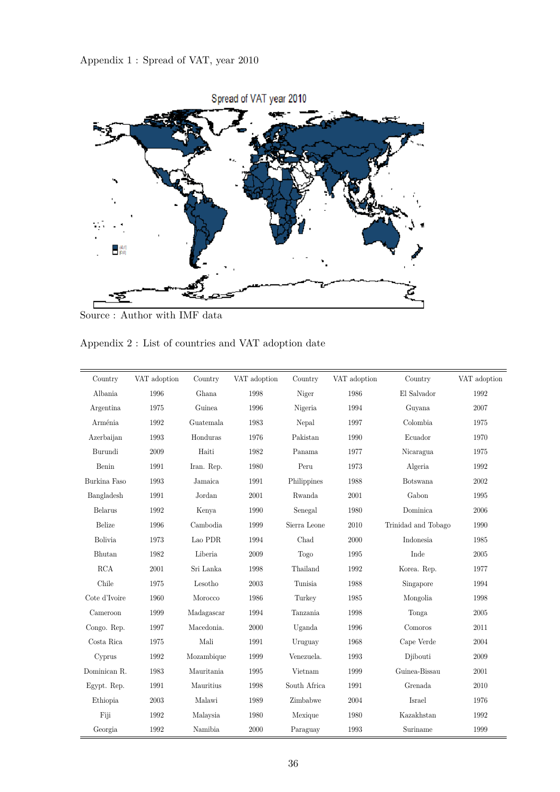

Source : Author with IMF data

| Appendix 2 : List of countries and VAT adoption date |  |  |  |  |
|------------------------------------------------------|--|--|--|--|
|------------------------------------------------------|--|--|--|--|

| Country       | VAT adoption | Country    | VAT adoption | Country      | VAT adoption | Country             | VAT adoption |
|---------------|--------------|------------|--------------|--------------|--------------|---------------------|--------------|
| Albania       | 1996         | Ghana      | 1998         | Niger        | 1986         | El Salvador         | 1992         |
| Argentina     | 1975         | Guinea     | 1996         | Nigeria      | 1994         | Guyana              | 2007         |
| Arménia       | 1992         | Guatemala  | 1983         | Nepal        | 1997         | Colombia            | 1975         |
| Azerbaijan    | 1993         | Honduras   | 1976         | Pakistan     | 1990         | Ecuador             | 1970         |
| Burundi       | 2009         | Haiti      | 1982         | Panama       | 1977         | Nicaragua           | 1975         |
| Benin         | 1991         | Iran. Rep. | 1980         | Peru         | 1973         | Algeria             | 1992         |
| Burkina Faso  | 1993         | Jamaica    | 1991         | Philippines  | 1988         | Botswana            | 2002         |
| Bangladesh    | 1991         | Jordan     | 2001         | Rwanda       | 2001         | Gabon               | 1995         |
| Belarus       | 1992         | Kenya      | 1990         | Senegal      | 1980         | Dominica            | 2006         |
| Belize        | 1996         | Cambodia   | 1999         | Sierra Leone | 2010         | Trinidad and Tobago | 1990         |
| Bolivia       | 1973         | Lao PDR    | 1994         | Chad         | 2000         | Indonesia           | 1985         |
| Bhutan        | 1982         | Liberia    | 2009         | Togo         | 1995         | Inde                | 2005         |
| RCA           | 2001         | Sri Lanka  | 1998         | Thailand     | 1992         | Korea. Rep.         | 1977         |
| Chile         | 1975         | Lesotho    | 2003         | Tunisia      | 1988         | Singapore           | 1994         |
| Cote d'Ivoire | 1960         | Morocco    | 1986         | Turkey       | 1985         | Mongolia            | 1998         |
| Cameroon      | 1999         | Madagascar | 1994         | Tanzania     | 1998         | Tonga               | 2005         |
| Congo. Rep.   | 1997         | Macedonia. | 2000         | Uganda       | 1996         | Comoros             | 2011         |
| Costa Rica    | 1975         | Mali       | 1991         | Uruguay      | 1968         | Cape Verde          | 2004         |
| Cyprus        | 1992         | Mozambique | 1999         | Venezuela.   | 1993         | Djibouti            | 2009         |
| Dominican R.  | 1983         | Mauritania | 1995         | Vietnam      | 1999         | Guinea-Bissau       | 2001         |
| Egypt. Rep.   | 1991         | Mauritius  | 1998         | South Africa | 1991         | Grenada             | 2010         |
| Ethiopia      | 2003         | Malawi     | 1989         | Zimbabwe     | 2004         | Israel              | 1976         |
| Fiji          | 1992         | Malaysia   | 1980         | Mexique      | 1980         | Kazakhstan          | 1992         |
| Georgia       | 1992         | Namibia    | 2000         | Paraguay     | 1993         | Suriname            | 1999         |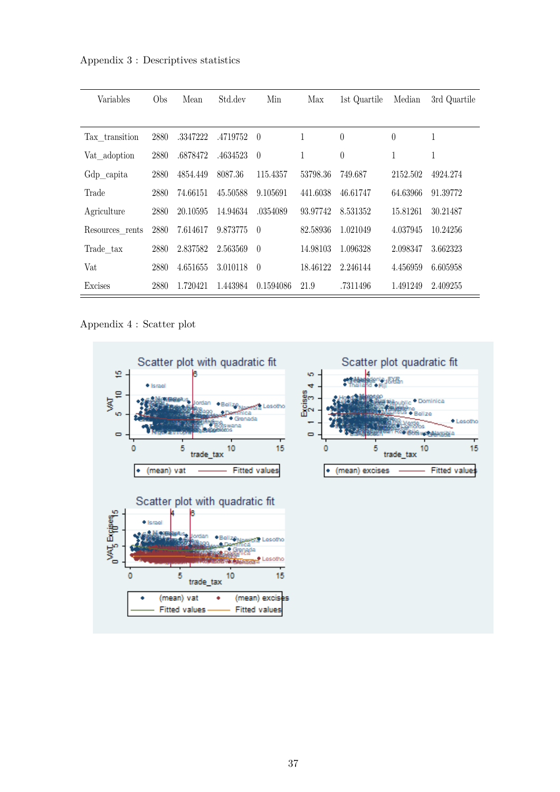Appendix 3 : Descriptives statistics

| Variables       | Obs  | Mean     | Std.dev  | Min              | Max      | 1st Quartile | Median   | 3rd Quartile |
|-----------------|------|----------|----------|------------------|----------|--------------|----------|--------------|
|                 |      |          |          |                  |          |              |          |              |
| Tax transition  | 2880 | .3347222 | .4719752 | $\overline{0}$   | 1        | $\theta$     | $\theta$ | 1            |
| Vat adoption    | 2880 | .6878472 | .4634523 | $\theta$         | 1        | $\theta$     | 1        | 1            |
| Gdp_capita      | 2880 | 4854.449 | 8087.36  | 115.4357         | 53798.36 | 749.687      | 2152.502 | 4924.274     |
| Trade           | 2880 | 74.66151 | 45.50588 | 9.105691         | 441.6038 | 46.61747     | 64.63966 | 91.39772     |
| Agriculture     | 2880 | 20.10595 | 14.94634 | .0354089         | 93.97742 | 8.531352     | 15.81261 | 30.21487     |
| Resources rents | 2880 | 7.614617 | 9.873775 | $\left( \right)$ | 82.58936 | 1.021049     | 4.037945 | 10.24256     |
| Trade tax       | 2880 | 2.837582 | 2.563569 | $\theta$         | 14.98103 | 1.096328     | 2.098347 | 3.662323     |
| Vat             | 2880 | 4.651655 | 3.010118 | $\left($         | 18.46122 | 2.246144     | 4.456959 | 6.605958     |
| Excises         | 2880 | 1.720421 | 1.443984 | 0.1594086        | 21.9     | .7311496     | 1.491249 | 2.409255     |

Appendix 4 : Scatter plot